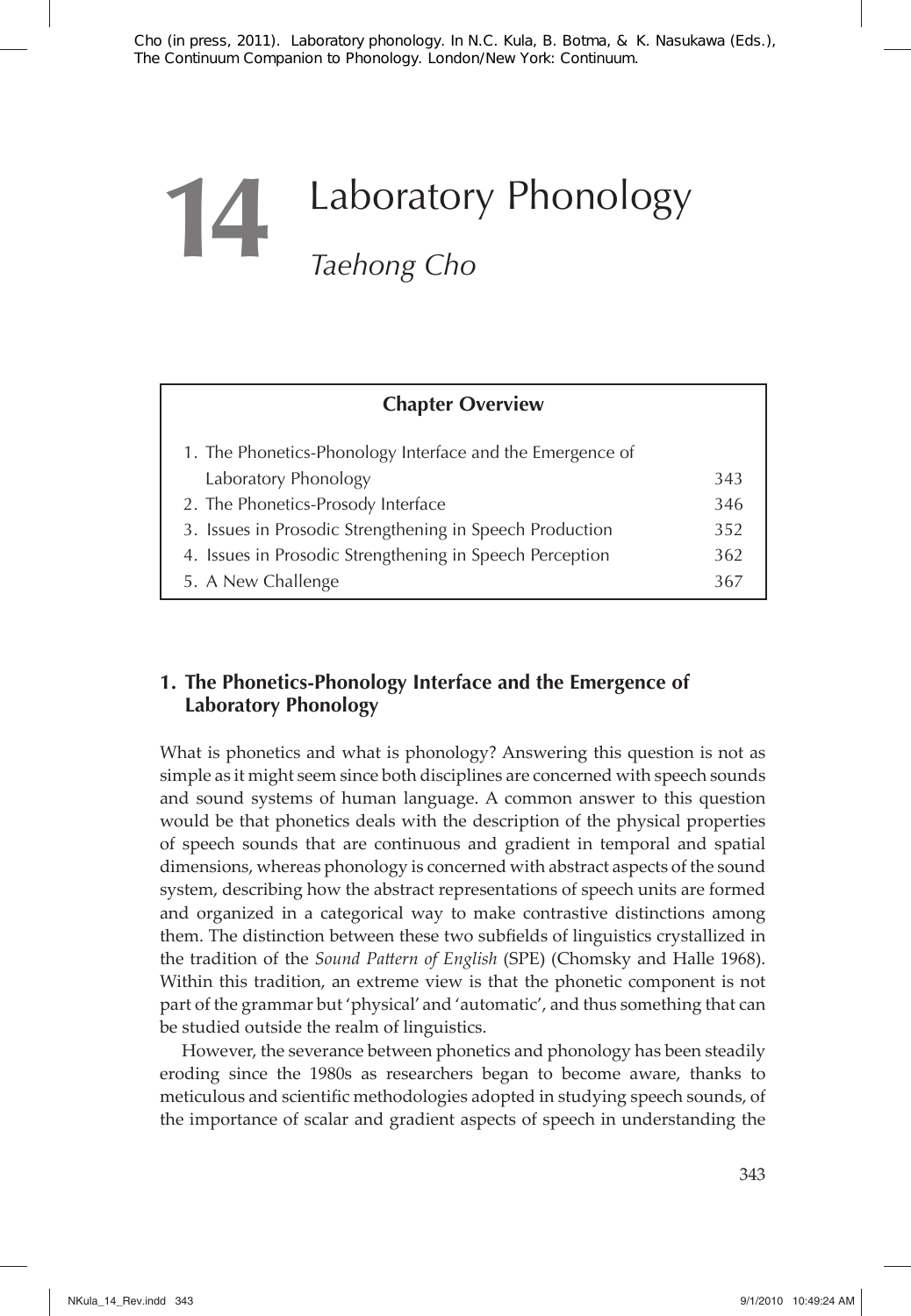Cho (in press, 2011). Laboratory phonology. In N.C. Kula, B. Botma, & K. Nasukawa (Eds.), The Continuum Companion to Phonology. London/New York: Continuum.

# Laboratory Phonology<br>Taehong Cho

| <b>Chapter Overview</b>                                   |     |
|-----------------------------------------------------------|-----|
| 1. The Phonetics-Phonology Interface and the Emergence of |     |
| Laboratory Phonology                                      | 343 |
| 2. The Phonetics-Prosody Interface                        | 346 |
| 3. Issues in Prosodic Strengthening in Speech Production  | 352 |
| 4. Issues in Prosodic Strengthening in Speech Perception  | 362 |
| 5. A New Challenge                                        | 367 |

# **1. The Phonetics-Phonology Interface and the Emergence of Laboratory Phonology**

What is phonetics and what is phonology? Answering this question is not as simple as it might seem since both disciplines are concerned with speech sounds and sound systems of human language. A common answer to this question would be that phonetics deals with the description of the physical properties of speech sounds that are continuous and gradient in temporal and spatial dimensions, whereas phonology is concerned with abstract aspects of the sound system, describing how the abstract representations of speech units are formed and organized in a categorical way to make contrastive distinctions among them. The distinction between these two subfields of linguistics crystallized in the tradition of the *Sound Pattern of English* (SPE) (Chomsky and Halle 1968). Within this tradition, an extreme view is that the phonetic component is not part of the grammar but 'physical' and 'automatic', and thus something that can be studied outside the realm of linguistics.

However, the severance between phonetics and phonology has been steadily eroding since the 1980s as researchers began to become aware, thanks to meticulous and scientific methodologies adopted in studying speech sounds, of the importance of scalar and gradient aspects of speech in understanding the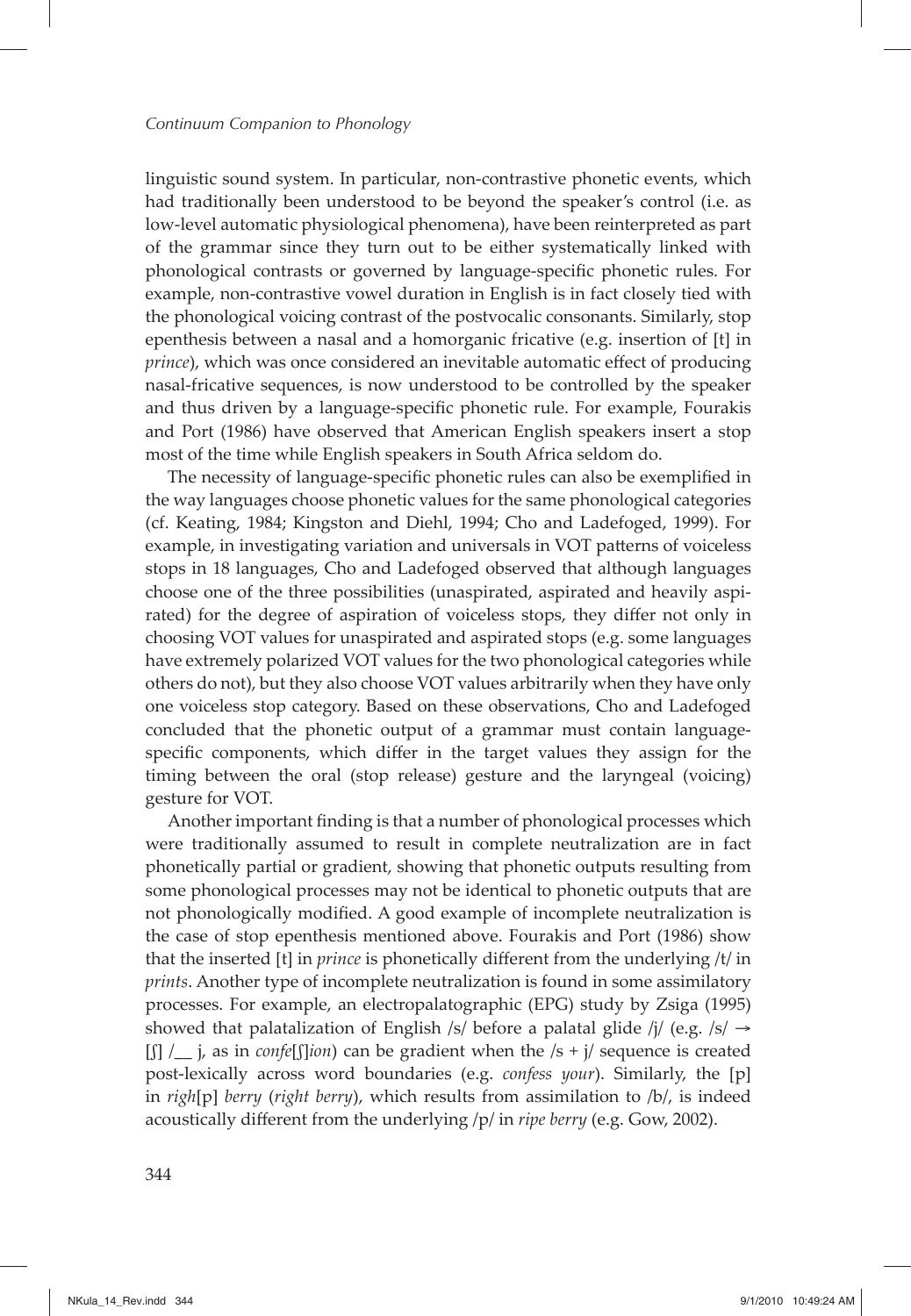linguistic sound system. In particular, non-contrastive phonetic events, which had traditionally been understood to be beyond the speaker's control (i.e. as low-level automatic physiological phenomena), have been reinterpreted as part of the grammar since they turn out to be either systematically linked with phonological contrasts or governed by language-specific phonetic rules. For example, non-contrastive vowel duration in English is in fact closely tied with the phonological voicing contrast of the postvocalic consonants. Similarly, stop epenthesis between a nasal and a homorganic fricative (e.g. insertion of [t] in *prince*), which was once considered an inevitable automatic effect of producing nasal-fricative sequences, is now understood to be controlled by the speaker and thus driven by a language-specific phonetic rule. For example, Fourakis and Port (1986) have observed that American English speakers insert a stop most of the time while English speakers in South Africa seldom do.

The necessity of language-specific phonetic rules can also be exemplified in the way languages choose phonetic values for the same phonological categories (cf. Keating, 1984; Kingston and Diehl, 1994; Cho and Ladefoged, 1999). For example, in investigating variation and universals in VOT patterns of voiceless stops in 18 languages, Cho and Ladefoged observed that although languages choose one of the three possibilities (unaspirated, aspirated and heavily aspirated) for the degree of aspiration of voiceless stops, they differ not only in choosing VOT values for unaspirated and aspirated stops (e.g. some languages have extremely polarized VOT values for the two phonological categories while others do not), but they also choose VOT values arbitrarily when they have only one voiceless stop category. Based on these observations, Cho and Ladefoged concluded that the phonetic output of a grammar must contain languagespecific components, which differ in the target values they assign for the timing between the oral (stop release) gesture and the laryngeal (voicing) gesture for VOT.

Another important finding is that a number of phonological processes which were traditionally assumed to result in complete neutralization are in fact phonetically partial or gradient, showing that phonetic outputs resulting from some phonological processes may not be identical to phonetic outputs that are not phonologically modified. A good example of incomplete neutralization is the case of stop epenthesis mentioned above. Fourakis and Port (1986) show that the inserted [t] in *prince* is phonetically different from the underlying /t/ in *prints*. Another type of incomplete neutralization is found in some assimilatory processes. For example, an electropalatographic (EPG) study by Zsiga (1995) showed that palatalization of English /s/ before a palatal glide /j/ (e.g. /s/  $\rightarrow$  $\left[\begin{array}{c} f \end{array}\right]$  /\_ j, as in *confe*[f]*ion*) can be gradient when the /s + j/ sequence is created post-lexically across word boundaries (e.g. *confess your*). Similarly, the [p] in *righ*[p] *berry* (*right berry*), which results from assimilation to /b/, is indeed acoustically different from the underlying /p/ in *ripe berry* (e.g. Gow, 2002).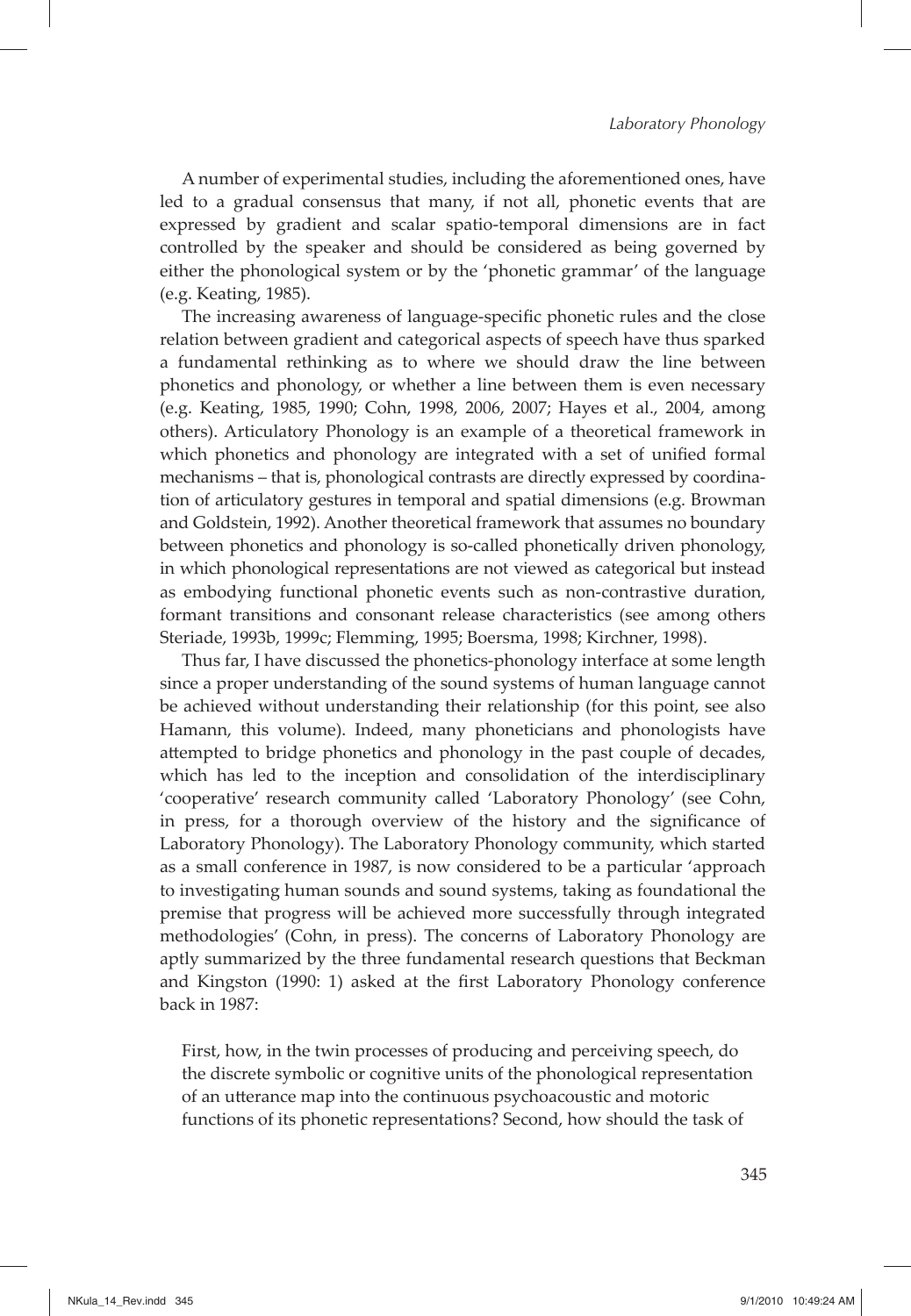A number of experimental studies, including the aforementioned ones, have led to a gradual consensus that many, if not all, phonetic events that are expressed by gradient and scalar spatio-temporal dimensions are in fact controlled by the speaker and should be considered as being governed by either the phonological system or by the 'phonetic grammar' of the language (e.g. Keating, 1985).

The increasing awareness of language-specific phonetic rules and the close relation between gradient and categorical aspects of speech have thus sparked a fundamental rethinking as to where we should draw the line between phonetics and phonology, or whether a line between them is even necessary (e.g. Keating, 1985, 1990; Cohn, 1998, 2006, 2007; Hayes et al., 2004, among others). Articulatory Phonology is an example of a theoretical framework in which phonetics and phonology are integrated with a set of unified formal mechanisms – that is, phonological contrasts are directly expressed by coordination of articulatory gestures in temporal and spatial dimensions (e.g. Browman and Goldstein, 1992). Another theoretical framework that assumes no boundary between phonetics and phonology is so-called phonetically driven phonology, in which phonological representations are not viewed as categorical but instead as embodying functional phonetic events such as non-contrastive duration, formant transitions and consonant release characteristics (see among others Steriade, 1993b, 1999c; Flemming, 1995; Boersma, 1998; Kirchner, 1998).

Thus far, I have discussed the phonetics-phonology interface at some length since a proper understanding of the sound systems of human language cannot be achieved without understanding their relationship (for this point, see also Hamann, this volume). Indeed, many phoneticians and phonologists have attempted to bridge phonetics and phonology in the past couple of decades, which has led to the inception and consolidation of the interdisciplinary 'cooperative' research community called 'Laboratory Phonology' (see Cohn, in press, for a thorough overview of the history and the significance of Laboratory Phonology). The Laboratory Phonology community, which started as a small conference in 1987, is now considered to be a particular 'approach to investigating human sounds and sound systems, taking as foundational the premise that progress will be achieved more successfully through integrated methodologies' (Cohn, in press). The concerns of Laboratory Phonology are aptly summarized by the three fundamental research questions that Beckman and Kingston (1990: 1) asked at the first Laboratory Phonology conference back in 1987:

First, how, in the twin processes of producing and perceiving speech, do the discrete symbolic or cognitive units of the phonological representation of an utterance map into the continuous psychoacoustic and motoric functions of its phonetic representations? Second, how should the task of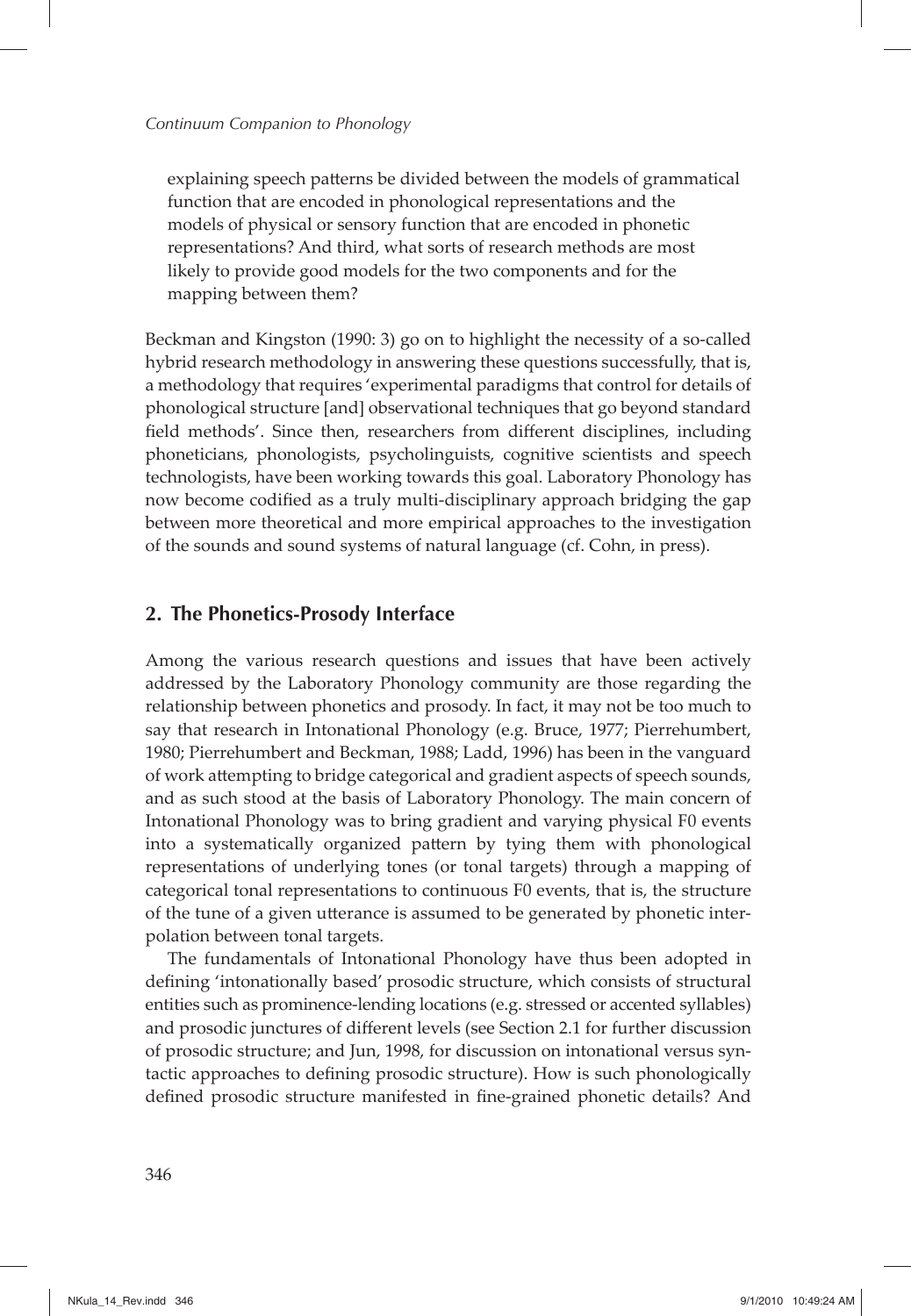explaining speech patterns be divided between the models of grammatical function that are encoded in phonological representations and the models of physical or sensory function that are encoded in phonetic representations? And third, what sorts of research methods are most likely to provide good models for the two components and for the mapping between them?

Beckman and Kingston (1990: 3) go on to highlight the necessity of a so-called hybrid research methodology in answering these questions successfully, that is, a methodology that requires 'experimental paradigms that control for details of phonological structure [and] observational techniques that go beyond standard field methods'. Since then, researchers from different disciplines, including phoneticians, phonologists, psycholinguists, cognitive scientists and speech technologists, have been working towards this goal. Laboratory Phonology has now become codified as a truly multi-disciplinary approach bridging the gap between more theoretical and more empirical approaches to the investigation of the sounds and sound systems of natural language (cf. Cohn, in press).

## **2. The Phonetics-Prosody Interface**

Among the various research questions and issues that have been actively addressed by the Laboratory Phonology community are those regarding the relationship between phonetics and prosody. In fact, it may not be too much to say that research in Intonational Phonology (e.g. Bruce, 1977; Pierrehumbert, 1980; Pierrehumbert and Beckman, 1988; Ladd, 1996) has been in the vanguard of work attempting to bridge categorical and gradient aspects of speech sounds, and as such stood at the basis of Laboratory Phonology. The main concern of Intonational Phonology was to bring gradient and varying physical F0 events into a systematically organized pattern by tying them with phonological representations of underlying tones (or tonal targets) through a mapping of categorical tonal representations to continuous F0 events, that is, the structure of the tune of a given utterance is assumed to be generated by phonetic interpolation between tonal targets.

The fundamentals of Intonational Phonology have thus been adopted in defining 'intonationally based' prosodic structure, which consists of structural entities such as prominence-lending locations (e.g. stressed or accented syllables) and prosodic junctures of different levels (see Section 2.1 for further discussion of prosodic structure; and Jun, 1998, for discussion on intonational versus syntactic approaches to defining prosodic structure). How is such phonologically defined prosodic structure manifested in fine-grained phonetic details? And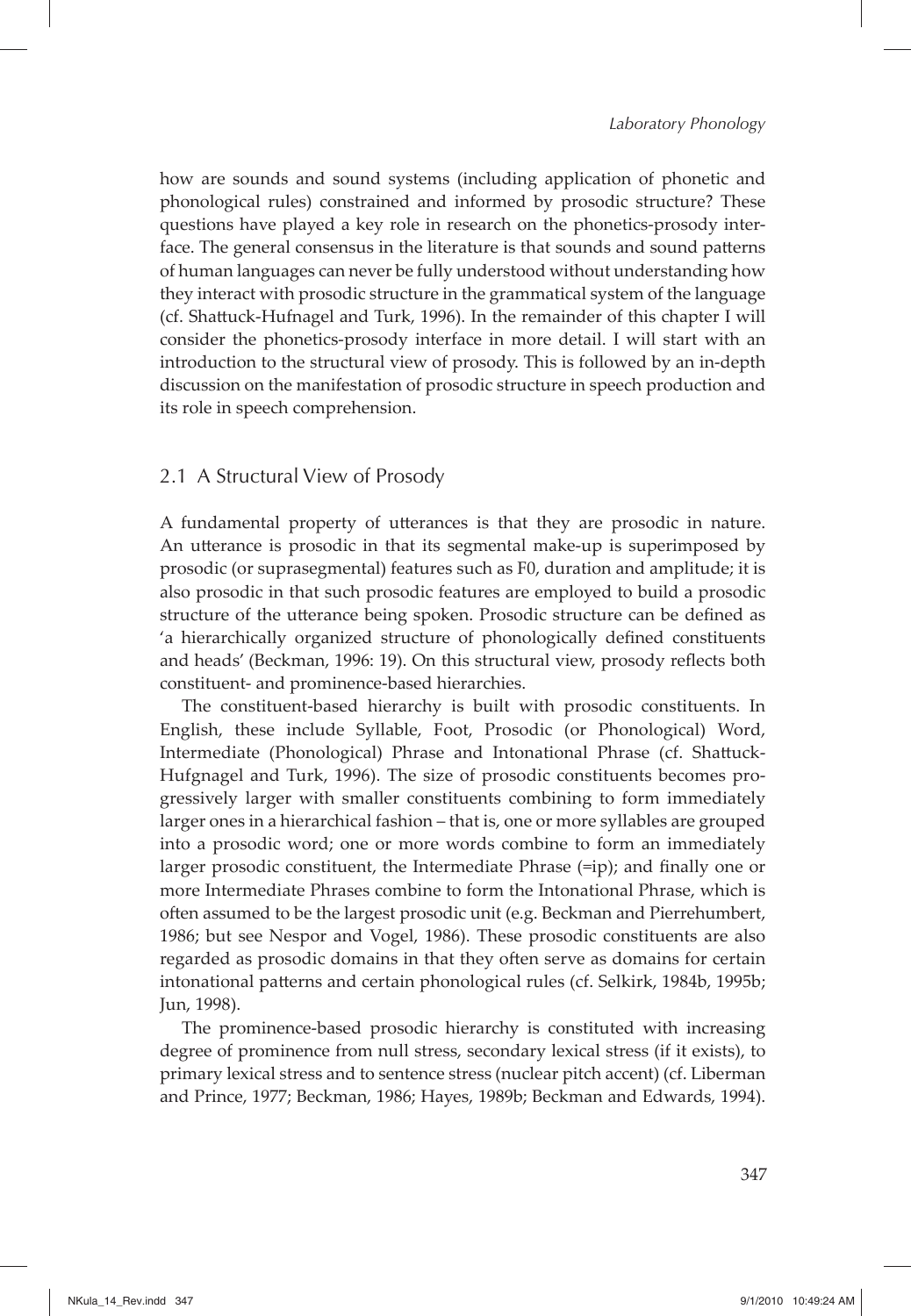how are sounds and sound systems (including application of phonetic and phonological rules) constrained and informed by prosodic structure? These questions have played a key role in research on the phonetics-prosody interface. The general consensus in the literature is that sounds and sound patterns of human languages can never be fully understood without understanding how they interact with prosodic structure in the grammatical system of the language (cf. Shattuck-Hufnagel and Turk, 1996). In the remainder of this chapter I will consider the phonetics-prosody interface in more detail. I will start with an introduction to the structural view of prosody. This is followed by an in-depth discussion on the manifestation of prosodic structure in speech production and its role in speech comprehension.

## 2.1 A Structural View of Prosody

A fundamental property of utterances is that they are prosodic in nature. An utterance is prosodic in that its segmental make-up is superimposed by prosodic (or suprasegmental) features such as F0, duration and amplitude; it is also prosodic in that such prosodic features are employed to build a prosodic structure of the utterance being spoken. Prosodic structure can be defined as 'a hierarchically organized structure of phonologically defined constituents and heads' (Beckman, 1996: 19). On this structural view, prosody reflects both constituent- and prominence-based hierarchies.

The constituent-based hierarchy is built with prosodic constituents. In English, these include Syllable, Foot, Prosodic (or Phonological) Word, Intermediate (Phonological) Phrase and Intonational Phrase (cf. Shattuck-Hufgnagel and Turk, 1996). The size of prosodic constituents becomes progressively larger with smaller constituents combining to form immediately larger ones in a hierarchical fashion – that is, one or more syllables are grouped into a prosodic word; one or more words combine to form an immediately larger prosodic constituent, the Intermediate Phrase  $(=ip)$ ; and finally one or more Intermediate Phrases combine to form the Intonational Phrase, which is often assumed to be the largest prosodic unit (e.g. Beckman and Pierrehumbert, 1986; but see Nespor and Vogel, 1986). These prosodic constituents are also regarded as prosodic domains in that they often serve as domains for certain intonational patterns and certain phonological rules (cf. Selkirk, 1984b, 1995b; Jun, 1998).

The prominence-based prosodic hierarchy is constituted with increasing degree of prominence from null stress, secondary lexical stress (if it exists), to primary lexical stress and to sentence stress (nuclear pitch accent) (cf. Liberman and Prince, 1977; Beckman, 1986; Hayes, 1989b; Beckman and Edwards, 1994).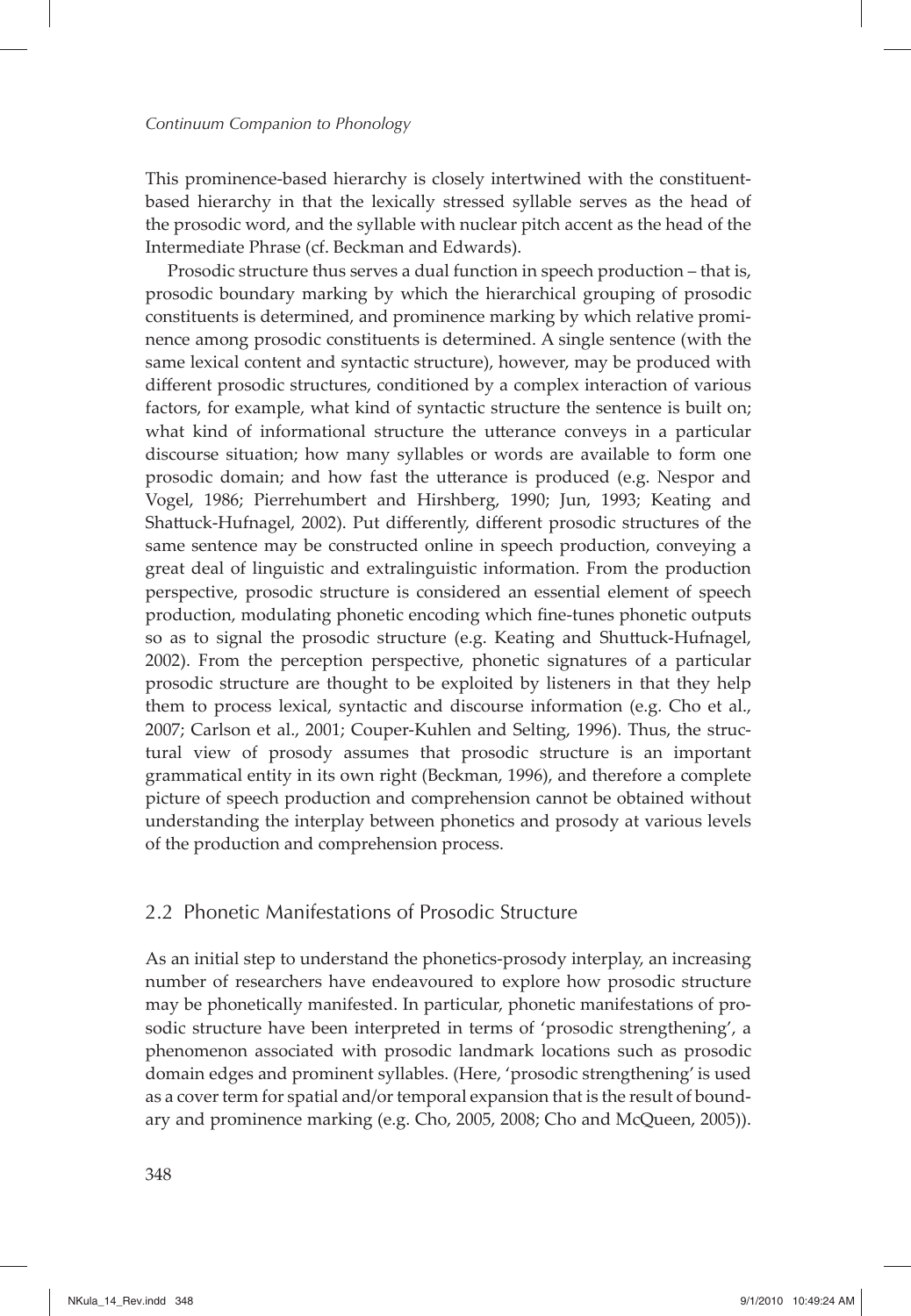This prominence-based hierarchy is closely intertwined with the constituentbased hierarchy in that the lexically stressed syllable serves as the head of the prosodic word, and the syllable with nuclear pitch accent as the head of the Intermediate Phrase (cf. Beckman and Edwards).

Prosodic structure thus serves a dual function in speech production – that is, prosodic boundary marking by which the hierarchical grouping of prosodic constituents is determined, and prominence marking by which relative prominence among prosodic constituents is determined. A single sentence (with the same lexical content and syntactic structure), however, may be produced with different prosodic structures, conditioned by a complex interaction of various factors, for example, what kind of syntactic structure the sentence is built on; what kind of informational structure the utterance conveys in a particular discourse situation; how many syllables or words are available to form one prosodic domain; and how fast the utterance is produced (e.g. Nespor and Vogel, 1986; Pierrehumbert and Hirshberg, 1990; Jun, 1993; Keating and Shattuck-Hufnagel, 2002). Put differently, different prosodic structures of the same sentence may be constructed online in speech production, conveying a great deal of linguistic and extralinguistic information. From the production perspective, prosodic structure is considered an essential element of speech production, modulating phonetic encoding which fine-tunes phonetic outputs so as to signal the prosodic structure (e.g. Keating and Shuttuck-Hufnagel, 2002). From the perception perspective, phonetic signatures of a particular prosodic structure are thought to be exploited by listeners in that they help them to process lexical, syntactic and discourse information (e.g. Cho et al., 2007; Carlson et al., 2001; Couper-Kuhlen and Selting, 1996). Thus, the structural view of prosody assumes that prosodic structure is an important grammatical entity in its own right (Beckman, 1996), and therefore a complete picture of speech production and comprehension cannot be obtained without understanding the interplay between phonetics and prosody at various levels of the production and comprehension process.

## 2.2 Phonetic Manifestations of Prosodic Structure

As an initial step to understand the phonetics-prosody interplay, an increasing number of researchers have endeavoured to explore how prosodic structure may be phonetically manifested. In particular, phonetic manifestations of prosodic structure have been interpreted in terms of 'prosodic strengthening', a phenomenon associated with prosodic landmark locations such as prosodic domain edges and prominent syllables. (Here, 'prosodic strengthening' is used as a cover term for spatial and/or temporal expansion that is the result of boundary and prominence marking (e.g. Cho, 2005, 2008; Cho and McQueen, 2005)).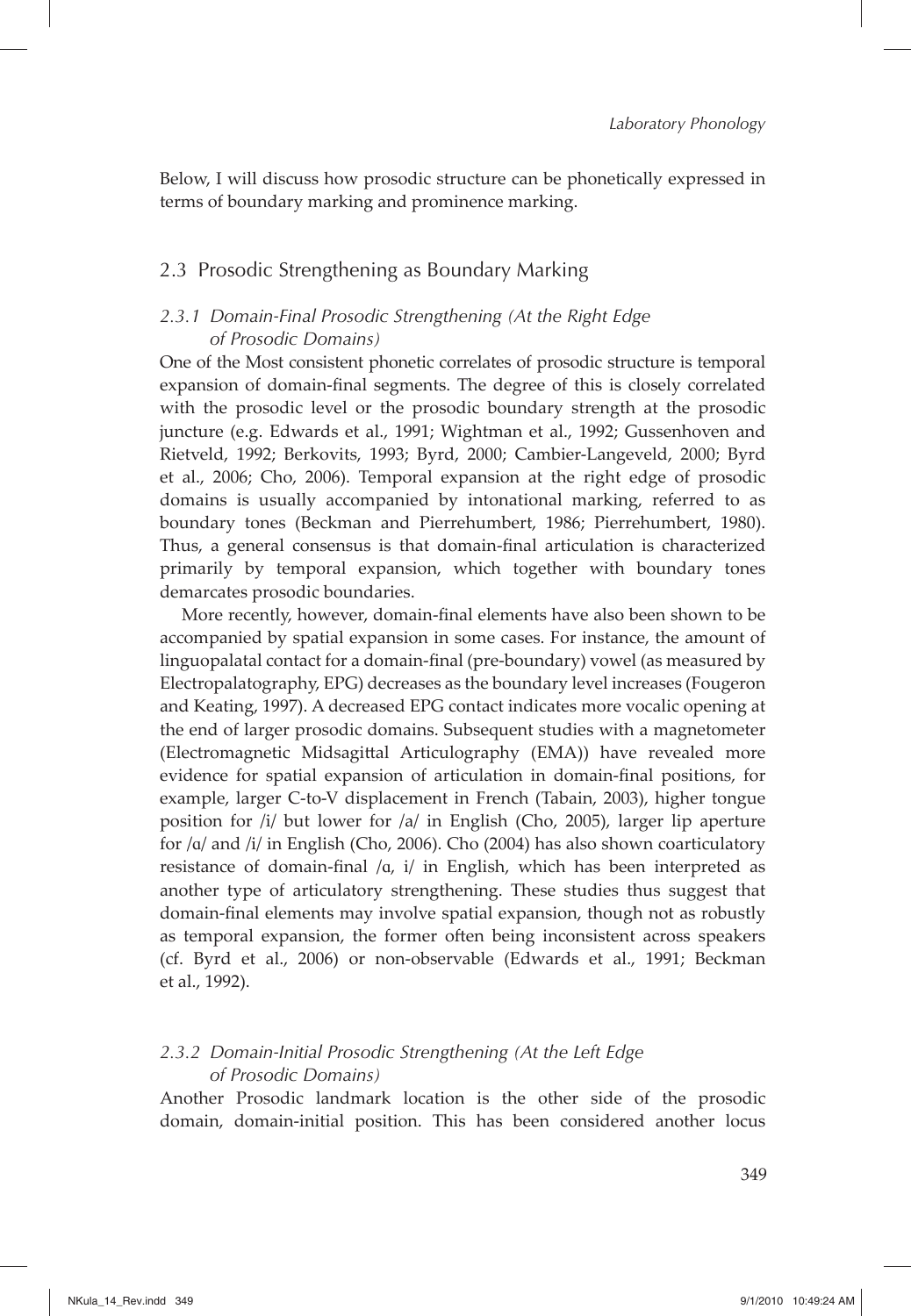Below, I will discuss how prosodic structure can be phonetically expressed in terms of boundary marking and prominence marking.

## 2.3 Prosodic Strengthening as Boundary Marking

## *2.3.1 Domain-Final Prosodic Strengthening (At the Right Edge of Prosodic Domains)*

One of the Most consistent phonetic correlates of prosodic structure is temporal expansion of domain-final segments. The degree of this is closely correlated with the prosodic level or the prosodic boundary strength at the prosodic juncture (e.g. Edwards et al., 1991; Wightman et al., 1992; Gussenhoven and Rietveld, 1992; Berkovits, 1993; Byrd, 2000; Cambier-Langeveld, 2000; Byrd et al., 2006; Cho, 2006). Temporal expansion at the right edge of prosodic domains is usually accompanied by intonational marking, referred to as boundary tones (Beckman and Pierrehumbert, 1986; Pierrehumbert, 1980). Thus, a general consensus is that domain-final articulation is characterized primarily by temporal expansion, which together with boundary tones demarcates prosodic boundaries.

More recently, however, domain-final elements have also been shown to be accompanied by spatial expansion in some cases. For instance, the amount of linguopalatal contact for a domain-final (pre-boundary) vowel (as measured by Electropalatography, EPG) decreases as the boundary level increases (Fougeron and Keating, 1997). A decreased EPG contact indicates more vocalic opening at the end of larger prosodic domains. Subsequent studies with a magnetometer (Electromagnetic Midsagittal Articulography (EMA)) have revealed more evidence for spatial expansion of articulation in domain-final positions, for example, larger C-to-V displacement in French (Tabain, 2003), higher tongue position for /i/ but lower for /a/ in English (Cho, 2005), larger lip aperture for /ɑ/ and /i/ in English (Cho, 2006). Cho (2004) has also shown coarticulatory resistance of domain-final  $/a$ , i/ in English, which has been interpreted as another type of articulatory strengthening. These studies thus suggest that domain-final elements may involve spatial expansion, though not as robustly as temporal expansion, the former often being inconsistent across speakers (cf. Byrd et al., 2006) or non-observable (Edwards et al., 1991; Beckman et al., 1992).

## *2.3.2 Domain-Initial Prosodic Strengthening (At the Left Edge of Prosodic Domains)*

Another Prosodic landmark location is the other side of the prosodic domain, domain-initial position. This has been considered another locus

349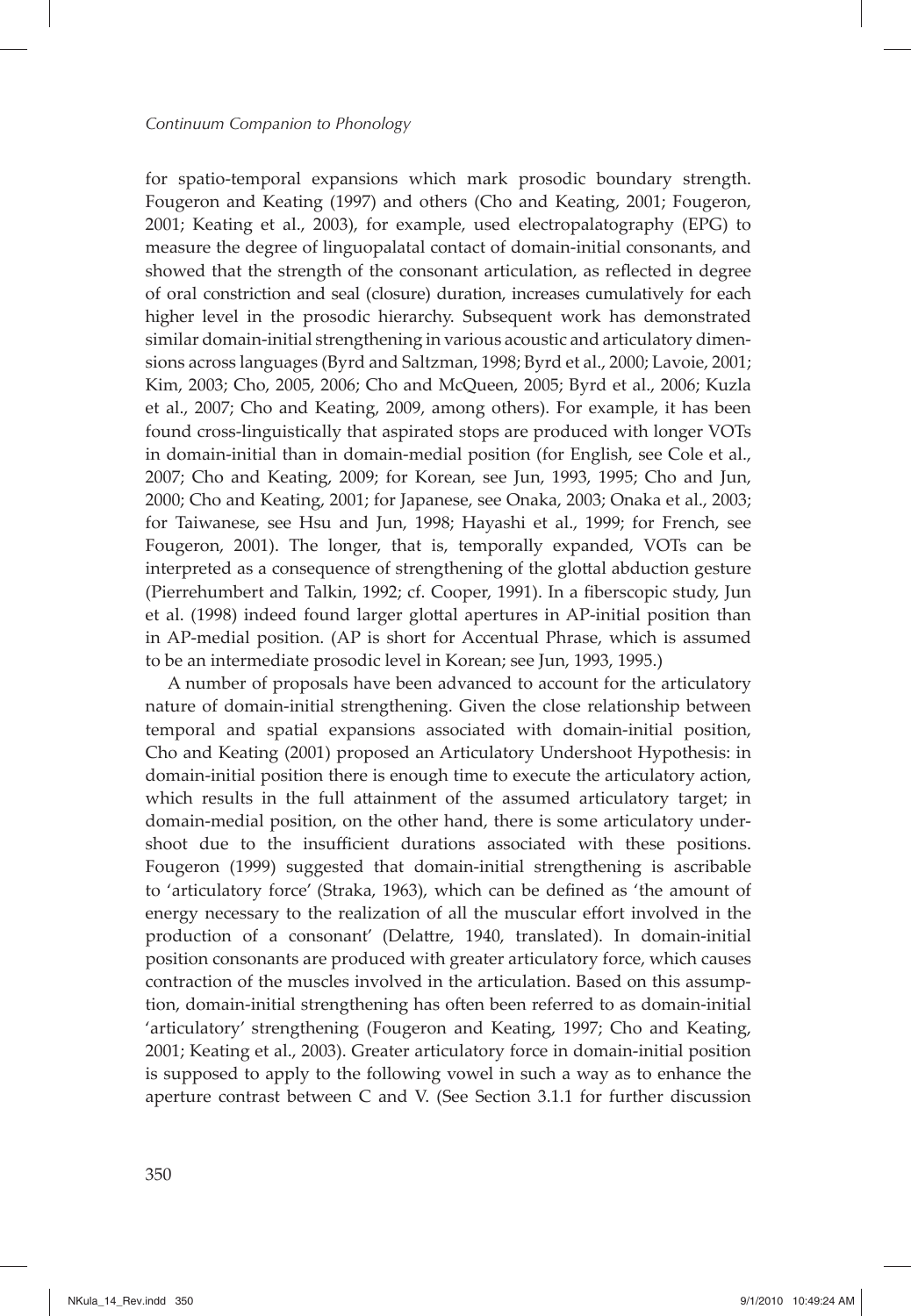for spatio-temporal expansions which mark prosodic boundary strength. Fougeron and Keating (1997) and others (Cho and Keating, 2001; Fougeron, 2001; Keating et al., 2003), for example, used electropalatography (EPG) to measure the degree of linguopalatal contact of domain-initial consonants, and showed that the strength of the consonant articulation, as reflected in degree of oral constriction and seal (closure) duration, increases cumulatively for each higher level in the prosodic hierarchy. Subsequent work has demonstrated similar domain-initial strengthening in various acoustic and articulatory dimensions across languages (Byrd and Saltzman, 1998; Byrd et al., 2000; Lavoie, 2001; Kim, 2003; Cho, 2005, 2006; Cho and McQueen, 2005; Byrd et al., 2006; Kuzla et al., 2007; Cho and Keating, 2009, among others). For example, it has been found cross-linguistically that aspirated stops are produced with longer VOTs in domain-initial than in domain-medial position (for English, see Cole et al., 2007; Cho and Keating, 2009; for Korean, see Jun, 1993, 1995; Cho and Jun, 2000; Cho and Keating, 2001; for Japanese, see Onaka, 2003; Onaka et al., 2003; for Taiwanese, see Hsu and Jun, 1998; Hayashi et al., 1999; for French, see Fougeron, 2001). The longer, that is, temporally expanded, VOTs can be interpreted as a consequence of strengthening of the glottal abduction gesture (Pierrehumbert and Talkin, 1992; cf. Cooper, 1991). In a fiberscopic study, Jun et al. (1998) indeed found larger glottal apertures in AP-initial position than in AP-medial position. (AP is short for Accentual Phrase, which is assumed to be an intermediate prosodic level in Korean; see Jun, 1993, 1995.)

A number of proposals have been advanced to account for the articulatory nature of domain-initial strengthening. Given the close relationship between temporal and spatial expansions associated with domain-initial position, Cho and Keating (2001) proposed an Articulatory Undershoot Hypothesis: in domain-initial position there is enough time to execute the articulatory action, which results in the full attainment of the assumed articulatory target; in domain-medial position, on the other hand, there is some articulatory undershoot due to the insufficient durations associated with these positions. Fougeron (1999) suggested that domain-initial strengthening is ascribable to 'articulatory force' (Straka, 1963), which can be defined as 'the amount of energy necessary to the realization of all the muscular effort involved in the production of a consonant' (Delattre, 1940, translated). In domain-initial position consonants are produced with greater articulatory force, which causes contraction of the muscles involved in the articulation. Based on this assumption, domain-initial strengthening has often been referred to as domain-initial 'articulatory' strengthening (Fougeron and Keating, 1997; Cho and Keating, 2001; Keating et al., 2003). Greater articulatory force in domain-initial position is supposed to apply to the following vowel in such a way as to enhance the aperture contrast between C and V. (See Section 3.1.1 for further discussion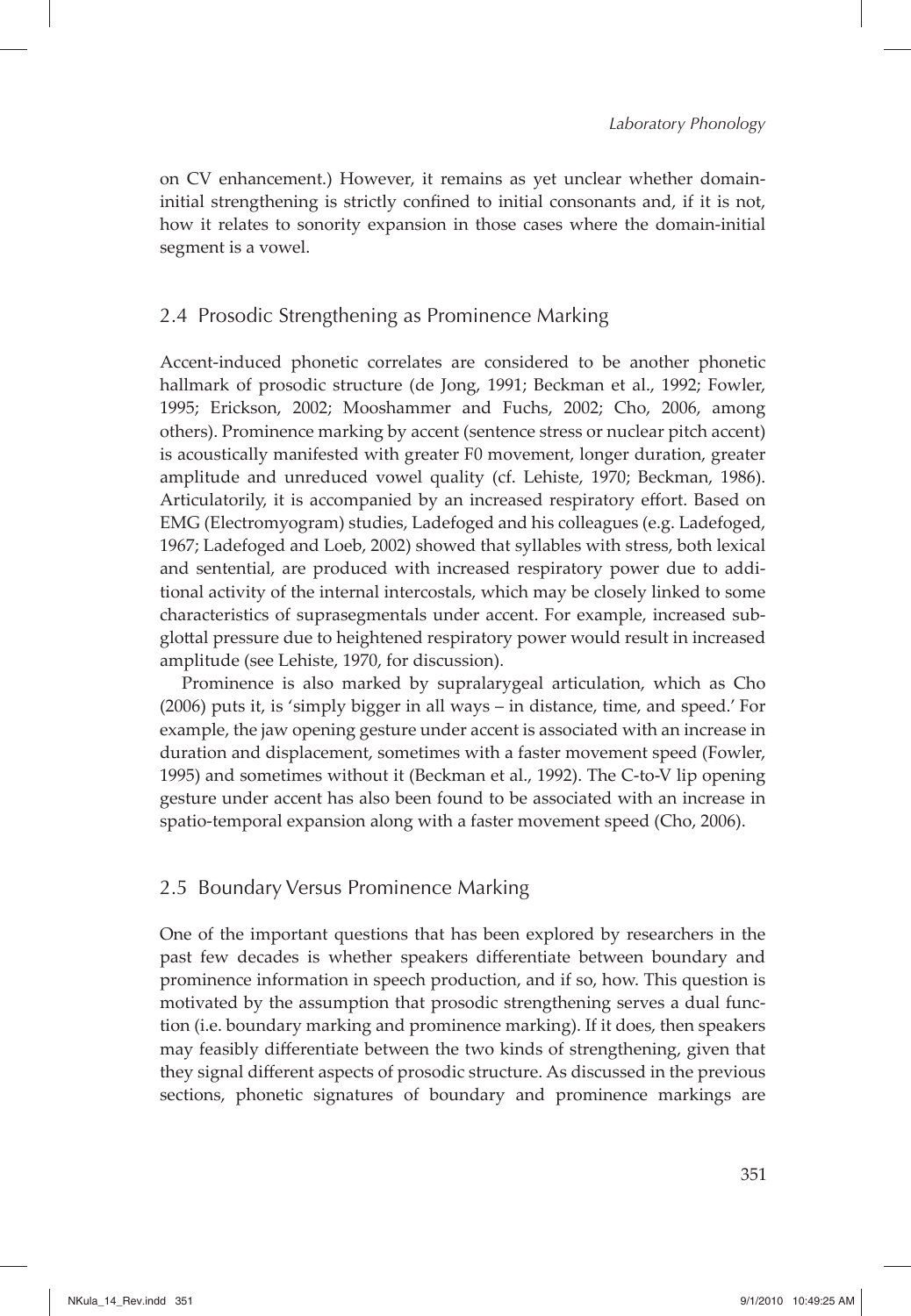on CV enhancement.) However, it remains as yet unclear whether domaininitial strengthening is strictly confined to initial consonants and, if it is not, how it relates to sonority expansion in those cases where the domain-initial segment is a vowel.

## 2.4 Prosodic Strengthening as Prominence Marking

Accent-induced phonetic correlates are considered to be another phonetic hallmark of prosodic structure (de Jong, 1991; Beckman et al., 1992; Fowler, 1995; Erickson, 2002; Mooshammer and Fuchs, 2002; Cho, 2006, among others). Prominence marking by accent (sentence stress or nuclear pitch accent) is acoustically manifested with greater F0 movement, longer duration, greater amplitude and unreduced vowel quality (cf. Lehiste, 1970; Beckman, 1986). Articulatorily, it is accompanied by an increased respiratory effort. Based on EMG (Electromyogram) studies, Ladefoged and his colleagues (e.g. Ladefoged, 1967; Ladefoged and Loeb, 2002) showed that syllables with stress, both lexical and sentential, are produced with increased respiratory power due to additional activity of the internal intercostals, which may be closely linked to some characteristics of suprasegmentals under accent. For example, increased subglottal pressure due to heightened respiratory power would result in increased amplitude (see Lehiste, 1970, for discussion).

Prominence is also marked by supralarygeal articulation, which as Cho (2006) puts it, is 'simply bigger in all ways – in distance, time, and speed.' For example, the jaw opening gesture under accent is associated with an increase in duration and displacement, sometimes with a faster movement speed (Fowler, 1995) and sometimes without it (Beckman et al., 1992). The C-to-V lip opening gesture under accent has also been found to be associated with an increase in spatio-temporal expansion along with a faster movement speed (Cho, 2006).

#### 2.5 Boundary Versus Prominence Marking

One of the important questions that has been explored by researchers in the past few decades is whether speakers differentiate between boundary and prominence information in speech production, and if so, how. This question is motivated by the assumption that prosodic strengthening serves a dual function (i.e. boundary marking and prominence marking). If it does, then speakers may feasibly differentiate between the two kinds of strengthening, given that they signal different aspects of prosodic structure. As discussed in the previous sections, phonetic signatures of boundary and prominence markings are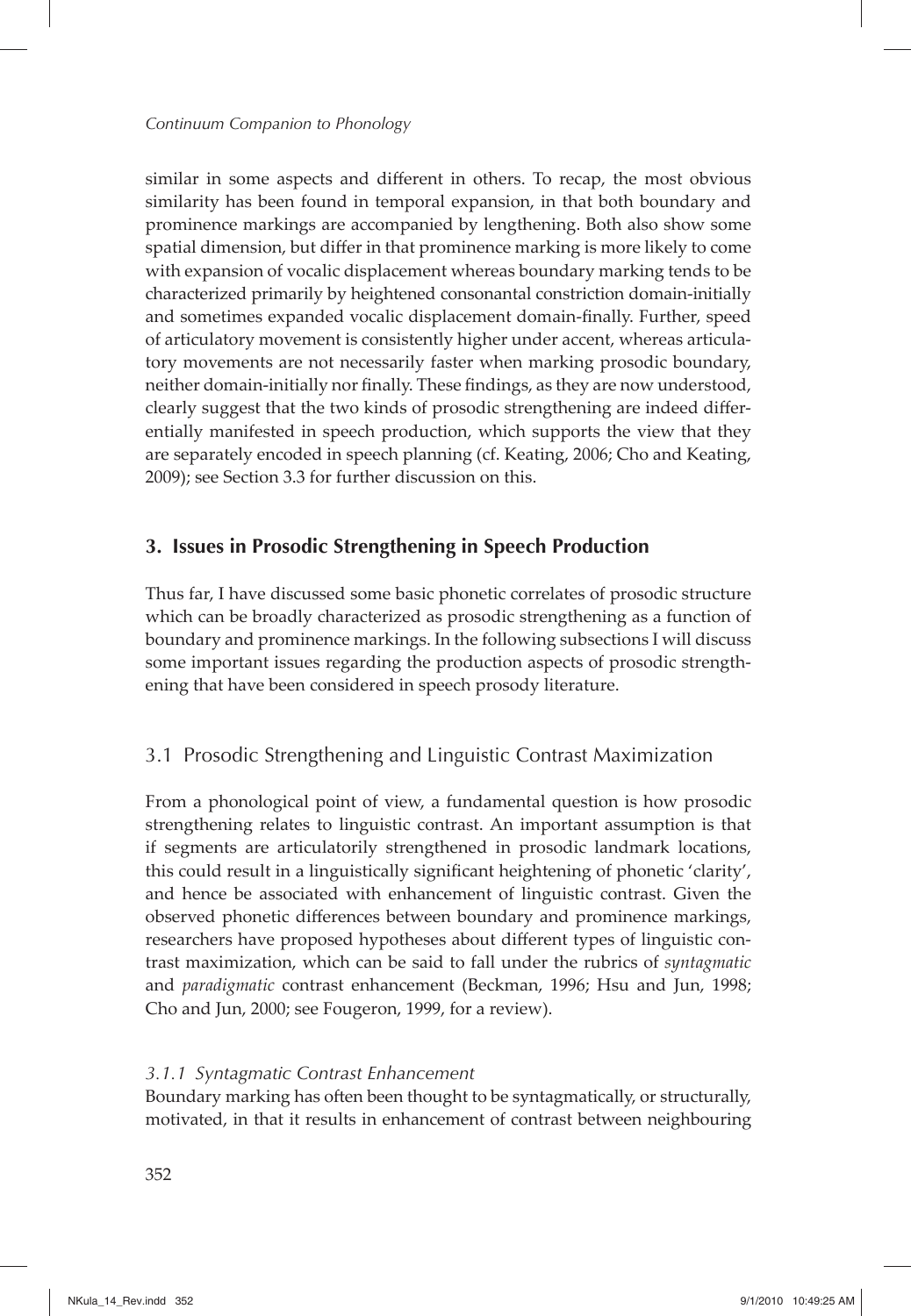similar in some aspects and different in others. To recap, the most obvious similarity has been found in temporal expansion, in that both boundary and prominence markings are accompanied by lengthening. Both also show some spatial dimension, but differ in that prominence marking is more likely to come with expansion of vocalic displacement whereas boundary marking tends to be characterized primarily by heightened consonantal constriction domain-initially and sometimes expanded vocalic displacement domain-finally. Further, speed of articulatory movement is consistently higher under accent, whereas articulatory movements are not necessarily faster when marking prosodic boundary, neither domain-initially nor finally. These findings, as they are now understood, clearly suggest that the two kinds of prosodic strengthening are indeed differentially manifested in speech production, which supports the view that they are separately encoded in speech planning (cf. Keating, 2006; Cho and Keating, 2009); see Section 3.3 for further discussion on this.

## **3. Issues in Prosodic Strengthening in Speech Production**

Thus far, I have discussed some basic phonetic correlates of prosodic structure which can be broadly characterized as prosodic strengthening as a function of boundary and prominence markings. In the following subsections I will discuss some important issues regarding the production aspects of prosodic strengthening that have been considered in speech prosody literature.

## 3.1 Prosodic Strengthening and Linguistic Contrast Maximization

From a phonological point of view, a fundamental question is how prosodic strengthening relates to linguistic contrast. An important assumption is that if segments are articulatorily strengthened in prosodic landmark locations, this could result in a linguistically significant heightening of phonetic 'clarity', and hence be associated with enhancement of linguistic contrast. Given the observed phonetic differences between boundary and prominence markings, researchers have proposed hypotheses about different types of linguistic contrast maximization, which can be said to fall under the rubrics of *syntagmatic* and *paradigmatic* contrast enhancement (Beckman, 1996; Hsu and Jun, 1998; Cho and Jun, 2000; see Fougeron, 1999, for a review).

#### *3.1.1 Syntagmatic Contrast Enhancement*

Boundary marking has often been thought to be syntagmatically, or structurally, motivated, in that it results in enhancement of contrast between neighbouring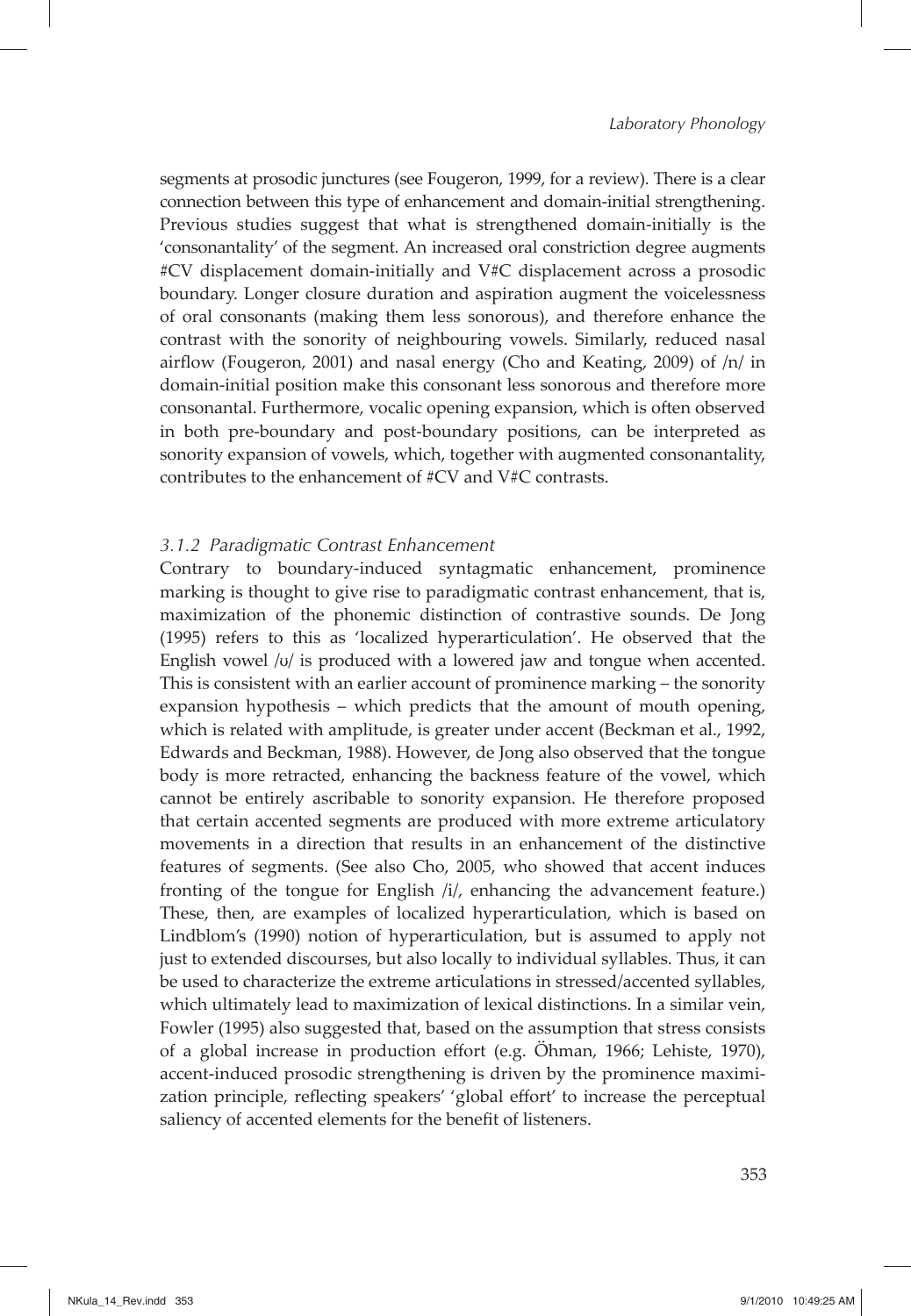segments at prosodic junctures (see Fougeron, 1999, for a review). There is a clear connection between this type of enhancement and domain-initial strengthening. Previous studies suggest that what is strengthened domain-initially is the 'consonantality' of the segment. An increased oral constriction degree augments #CV displacement domain-initially and V#C displacement across a prosodic boundary. Longer closure duration and aspiration augment the voicelessness of oral consonants (making them less sonorous), and therefore enhance the contrast with the sonority of neighbouring vowels. Similarly, reduced nasal airflow (Fougeron, 2001) and nasal energy (Cho and Keating, 2009) of  $/n/$  in domain-initial position make this consonant less sonorous and therefore more consonantal. Furthermore, vocalic opening expansion, which is often observed in both pre-boundary and post-boundary positions, can be interpreted as sonority expansion of vowels, which, together with augmented consonantality, contributes to the enhancement of #CV and V#C contrasts.

#### *3.1.2 Paradigmatic Contrast Enhancement*

Contrary to boundary-induced syntagmatic enhancement, prominence marking is thought to give rise to paradigmatic contrast enhancement, that is, maximization of the phonemic distinction of contrastive sounds. De Jong (1995) refers to this as 'localized hyperarticulation'. He observed that the English vowel  $\sqrt{u}$  is produced with a lowered jaw and tongue when accented. This is consistent with an earlier account of prominence marking – the sonority expansion hypothesis – which predicts that the amount of mouth opening, which is related with amplitude, is greater under accent (Beckman et al., 1992, Edwards and Beckman, 1988). However, de Jong also observed that the tongue body is more retracted, enhancing the backness feature of the vowel, which cannot be entirely ascribable to sonority expansion. He therefore proposed that certain accented segments are produced with more extreme articulatory movements in a direction that results in an enhancement of the distinctive features of segments. (See also Cho, 2005, who showed that accent induces fronting of the tongue for English /i/, enhancing the advancement feature.) These, then, are examples of localized hyperarticulation, which is based on Lindblom's (1990) notion of hyperarticulation, but is assumed to apply not just to extended discourses, but also locally to individual syllables. Thus, it can be used to characterize the extreme articulations in stressed/accented syllables, which ultimately lead to maximization of lexical distinctions. In a similar vein, Fowler (1995) also suggested that, based on the assumption that stress consists of a global increase in production effort (e.g. Öhman, 1966; Lehiste, 1970), accent-induced prosodic strengthening is driven by the prominence maximization principle, reflecting speakers' 'global effort' to increase the perceptual saliency of accented elements for the benefit of listeners.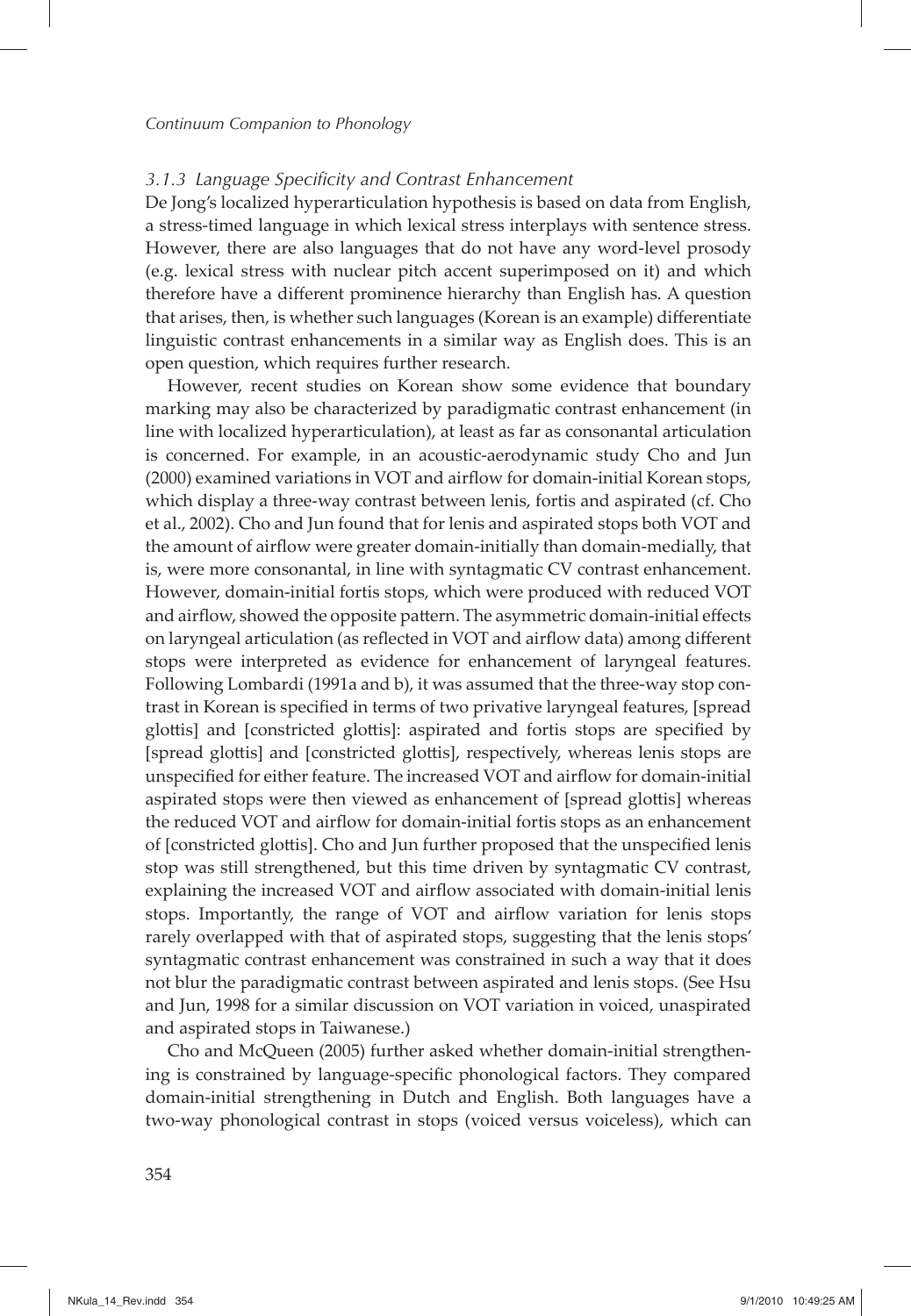#### *3.1.3 Language Specifi city and Contrast Enhancement*

De Jong's localized hyperarticulation hypothesis is based on data from English, a stress-timed language in which lexical stress interplays with sentence stress. However, there are also languages that do not have any word-level prosody (e.g. lexical stress with nuclear pitch accent superimposed on it) and which therefore have a different prominence hierarchy than English has. A question that arises, then, is whether such languages (Korean is an example) differentiate linguistic contrast enhancements in a similar way as English does. This is an open question, which requires further research.

However, recent studies on Korean show some evidence that boundary marking may also be characterized by paradigmatic contrast enhancement (in line with localized hyperarticulation), at least as far as consonantal articulation is concerned. For example, in an acoustic-aerodynamic study Cho and Jun (2000) examined variations in VOT and airflow for domain-initial Korean stops, which display a three-way contrast between lenis, fortis and aspirated (cf. Cho et al., 2002). Cho and Jun found that for lenis and aspirated stops both VOT and the amount of airflow were greater domain-initially than domain-medially, that is, were more consonantal, in line with syntagmatic CV contrast enhancement. However, domain-initial fortis stops, which were produced with reduced VOT and airflow, showed the opposite pattern. The asymmetric domain-initial effects on laryngeal articulation (as reflected in VOT and airflow data) among different stops were interpreted as evidence for enhancement of laryngeal features. Following Lombardi (1991a and b), it was assumed that the three-way stop contrast in Korean is specified in terms of two privative laryngeal features, [spread] glottis] and [constricted glottis]: aspirated and fortis stops are specified by [spread glottis] and [constricted glottis], respectively, whereas lenis stops are unspecified for either feature. The increased VOT and airflow for domain-initial aspirated stops were then viewed as enhancement of [spread glottis] whereas the reduced VOT and airflow for domain-initial fortis stops as an enhancement of [constricted glottis]. Cho and Jun further proposed that the unspecified lenis stop was still strengthened, but this time driven by syntagmatic CV contrast, explaining the increased VOT and airflow associated with domain-initial lenis stops. Importantly, the range of VOT and airflow variation for lenis stops rarely overlapped with that of aspirated stops, suggesting that the lenis stops' syntagmatic contrast enhancement was constrained in such a way that it does not blur the paradigmatic contrast between aspirated and lenis stops. (See Hsu and Jun, 1998 for a similar discussion on VOT variation in voiced, unaspirated and aspirated stops in Taiwanese.)

Cho and McQueen (2005) further asked whether domain-initial strengthening is constrained by language-specific phonological factors. They compared domain-initial strengthening in Dutch and English. Both languages have a two-way phonological contrast in stops (voiced versus voiceless), which can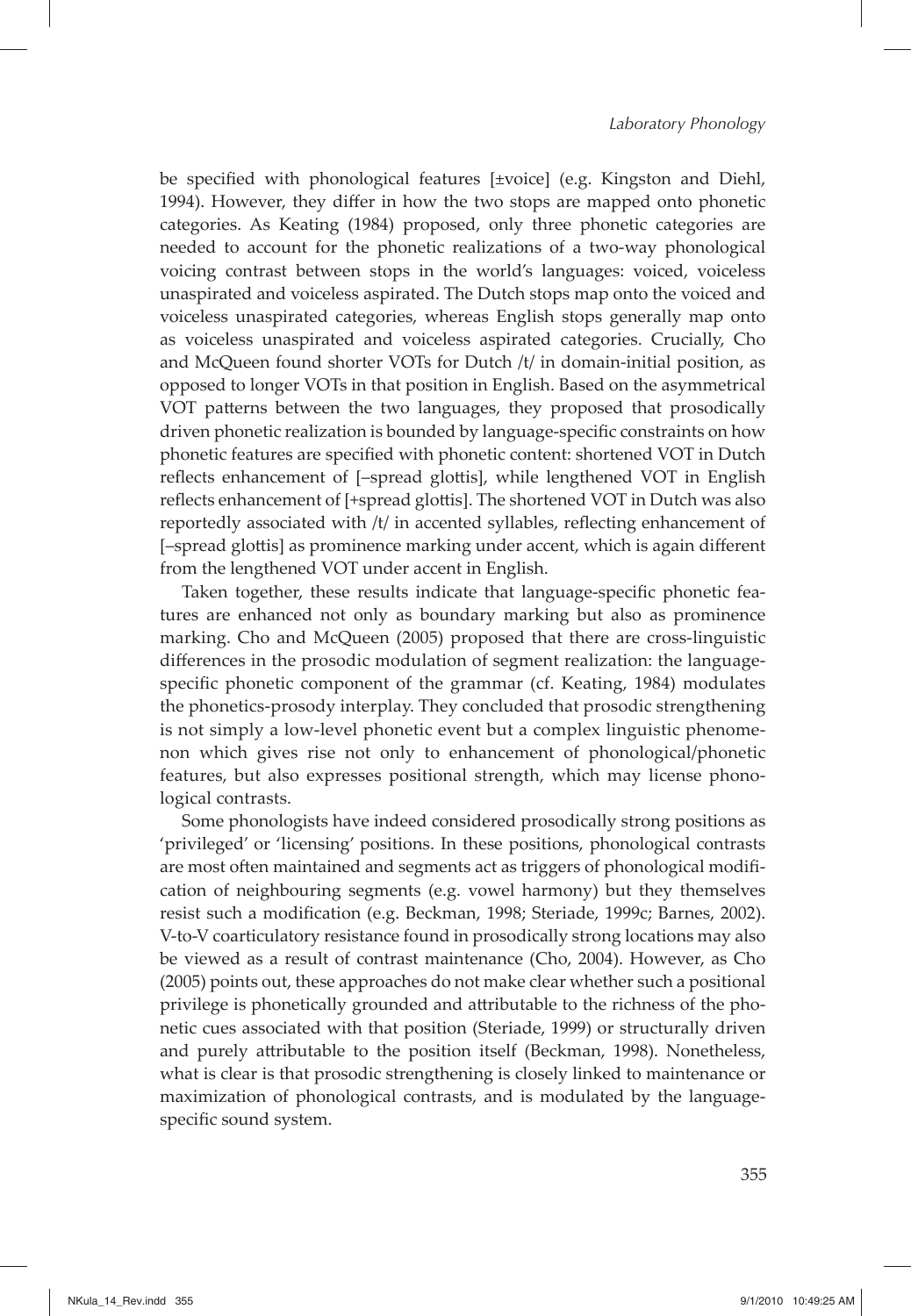be specified with phonological features  $[\pm \text{voice}]$  (e.g. Kingston and Diehl, 1994). However, they differ in how the two stops are mapped onto phonetic categories. As Keating (1984) proposed, only three phonetic categories are needed to account for the phonetic realizations of a two-way phonological voicing contrast between stops in the world's languages: voiced, voiceless unaspirated and voiceless aspirated. The Dutch stops map onto the voiced and voiceless unaspirated categories, whereas English stops generally map onto as voiceless unaspirated and voiceless aspirated categories. Crucially, Cho and McQueen found shorter VOTs for Dutch /t/ in domain-initial position, as opposed to longer VOTs in that position in English. Based on the asymmetrical VOT patterns between the two languages, they proposed that prosodically driven phonetic realization is bounded by language-specific constraints on how phonetic features are specified with phonetic content: shortened VOT in Dutch reflects enhancement of [–spread glottis], while lengthened VOT in English reflects enhancement of [+spread glottis]. The shortened VOT in Dutch was also reportedly associated with /t/ in accented syllables, reflecting enhancement of [-spread glottis] as prominence marking under accent, which is again different from the lengthened VOT under accent in English.

Taken together, these results indicate that language-specific phonetic features are enhanced not only as boundary marking but also as prominence marking. Cho and McQueen (2005) proposed that there are cross-linguistic differences in the prosodic modulation of segment realization: the languagespecific phonetic component of the grammar (cf. Keating, 1984) modulates the phonetics-prosody interplay. They concluded that prosodic strengthening is not simply a low-level phonetic event but a complex linguistic phenomenon which gives rise not only to enhancement of phonological/phonetic features, but also expresses positional strength, which may license phonological contrasts.

Some phonologists have indeed considered prosodically strong positions as 'privileged' or 'licensing' positions. In these positions, phonological contrasts are most often maintained and segments act as triggers of phonological modification of neighbouring segments (e.g. vowel harmony) but they themselves resist such a modification (e.g. Beckman, 1998; Steriade, 1999c; Barnes, 2002). V-to-V coarticulatory resistance found in prosodically strong locations may also be viewed as a result of contrast maintenance (Cho, 2004). However, as Cho (2005) points out, these approaches do not make clear whether such a positional privilege is phonetically grounded and attributable to the richness of the phonetic cues associated with that position (Steriade, 1999) or structurally driven and purely attributable to the position itself (Beckman, 1998). Nonetheless, what is clear is that prosodic strengthening is closely linked to maintenance or maximization of phonological contrasts, and is modulated by the languagespecific sound system.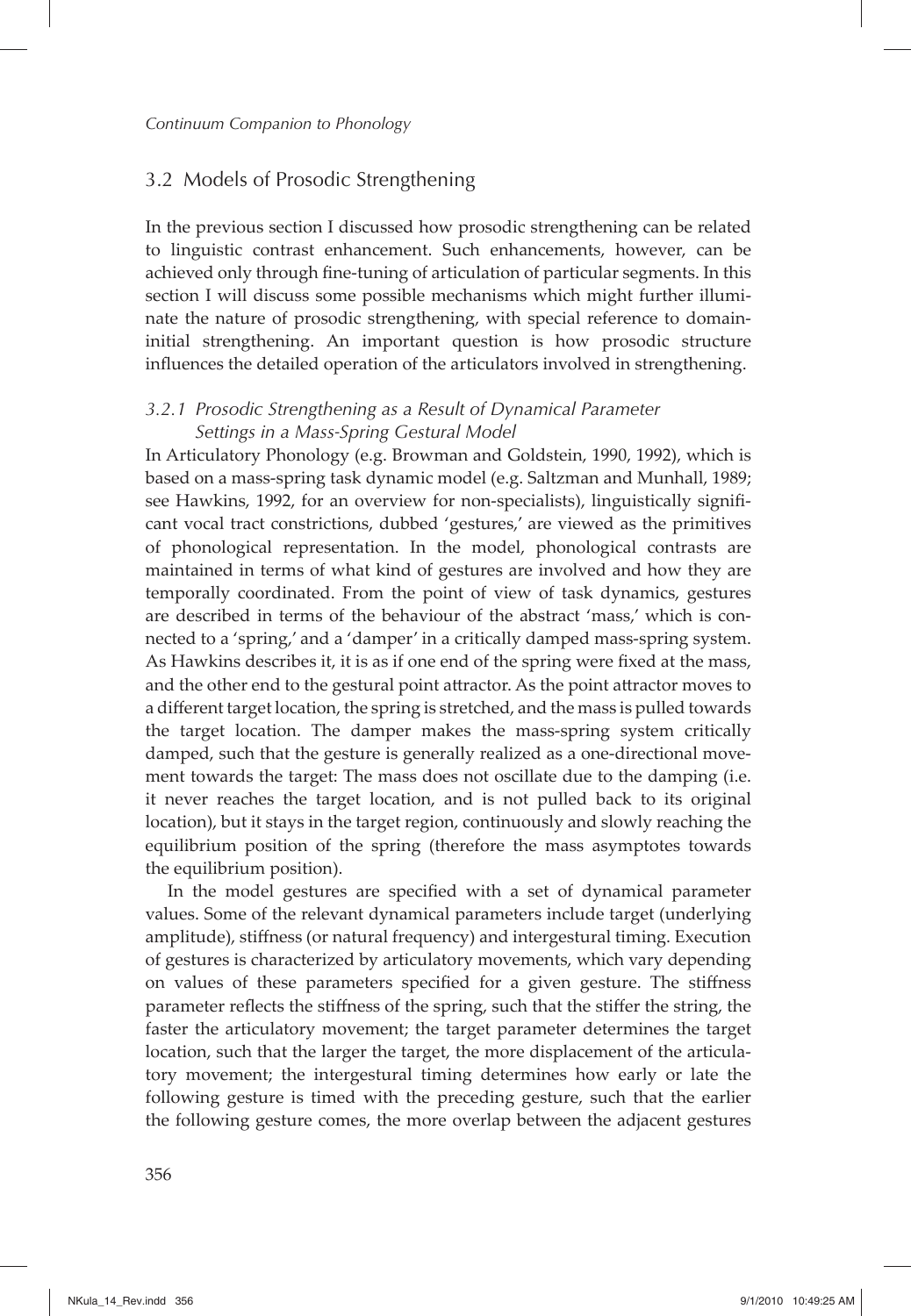## 3.2 Models of Prosodic Strengthening

In the previous section I discussed how prosodic strengthening can be related to linguistic contrast enhancement. Such enhancements, however, can be achieved only through fine-tuning of articulation of particular segments. In this section I will discuss some possible mechanisms which might further illuminate the nature of prosodic strengthening, with special reference to domaininitial strengthening. An important question is how prosodic structure influences the detailed operation of the articulators involved in strengthening.

## *3.2.1 Prosodic Strengthening as a Result of Dynamical Parameter Settings in a Mass-Spring Gestural Model*

In Articulatory Phonology (e.g. Browman and Goldstein, 1990, 1992), which is based on a mass-spring task dynamic model (e.g. Saltzman and Munhall, 1989; see Hawkins, 1992, for an overview for non-specialists), linguistically significant vocal tract constrictions, dubbed 'gestures,' are viewed as the primitives of phonological representation. In the model, phonological contrasts are maintained in terms of what kind of gestures are involved and how they are temporally coordinated. From the point of view of task dynamics, gestures are described in terms of the behaviour of the abstract 'mass,' which is connected to a 'spring,' and a 'damper' in a critically damped mass-spring system. As Hawkins describes it, it is as if one end of the spring were fixed at the mass, and the other end to the gestural point attractor. As the point attractor moves to a different target location, the spring is stretched, and the mass is pulled towards the target location. The damper makes the mass-spring system critically damped, such that the gesture is generally realized as a one-directional movement towards the target: The mass does not oscillate due to the damping (i.e. it never reaches the target location, and is not pulled back to its original location), but it stays in the target region, continuously and slowly reaching the equilibrium position of the spring (therefore the mass asymptotes towards the equilibrium position).

In the model gestures are specified with a set of dynamical parameter values. Some of the relevant dynamical parameters include target (underlying amplitude), stiffness (or natural frequency) and intergestural timing. Execution of gestures is characterized by articulatory movements, which vary depending on values of these parameters specified for a given gesture. The stiffness parameter reflects the stiffness of the spring, such that the stiffer the string, the faster the articulatory movement; the target parameter determines the target location, such that the larger the target, the more displacement of the articulatory movement; the intergestural timing determines how early or late the following gesture is timed with the preceding gesture, such that the earlier the following gesture comes, the more overlap between the adjacent gestures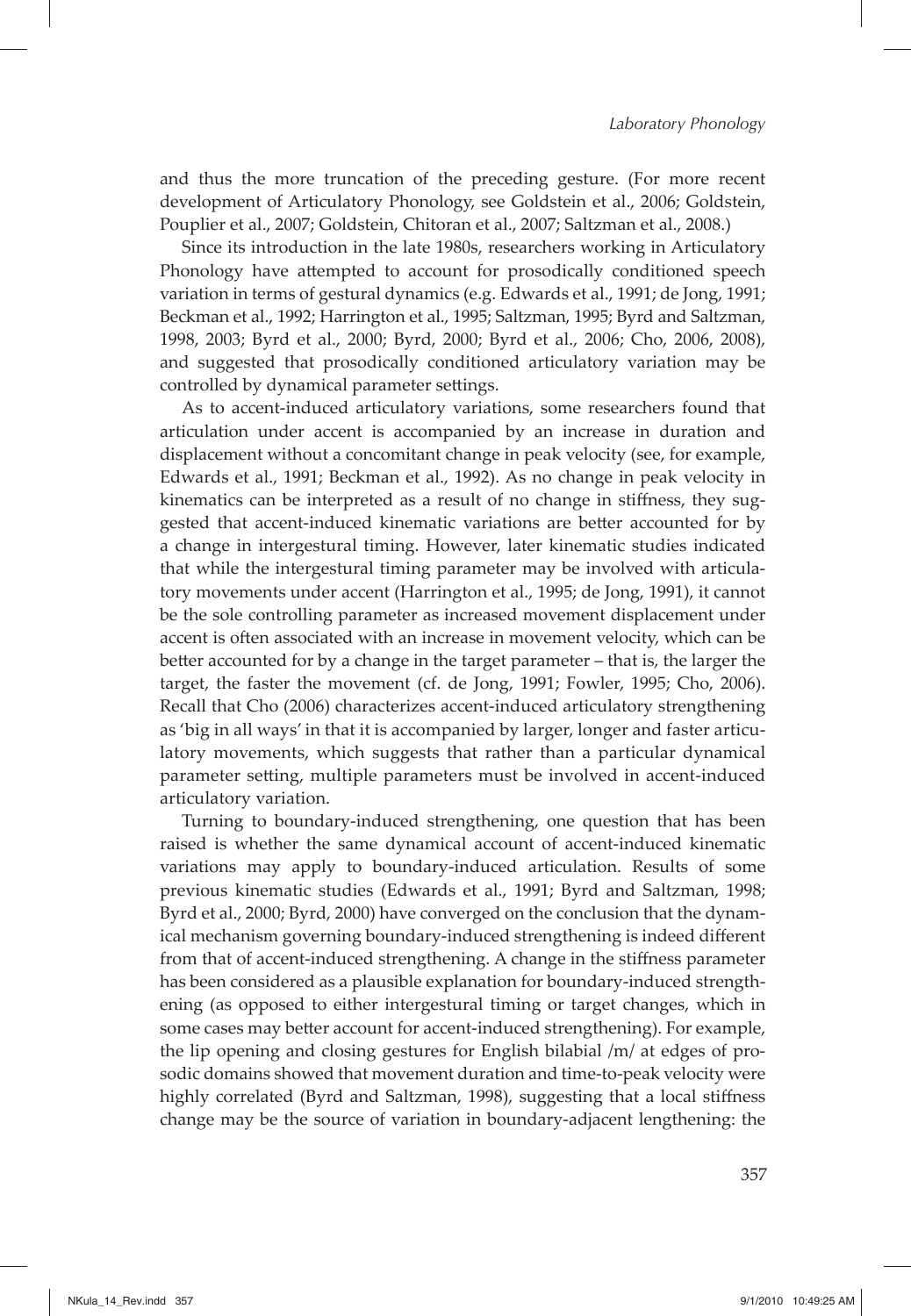and thus the more truncation of the preceding gesture. (For more recent development of Articulatory Phonology, see Goldstein et al., 2006; Goldstein, Pouplier et al., 2007; Goldstein, Chitoran et al., 2007; Saltzman et al., 2008.)

Since its introduction in the late 1980s, researchers working in Articulatory Phonology have attempted to account for prosodically conditioned speech variation in terms of gestural dynamics (e.g. Edwards et al., 1991; de Jong, 1991; Beckman et al., 1992; Harrington et al., 1995; Saltzman, 1995; Byrd and Saltzman, 1998, 2003; Byrd et al., 2000; Byrd, 2000; Byrd et al., 2006; Cho, 2006, 2008), and suggested that prosodically conditioned articulatory variation may be controlled by dynamical parameter settings.

As to accent-induced articulatory variations, some researchers found that articulation under accent is accompanied by an increase in duration and displacement without a concomitant change in peak velocity (see, for example, Edwards et al., 1991; Beckman et al., 1992). As no change in peak velocity in kinematics can be interpreted as a result of no change in stiffness, they suggested that accent-induced kinematic variations are better accounted for by a change in intergestural timing. However, later kinematic studies indicated that while the intergestural timing parameter may be involved with articulatory movements under accent (Harrington et al., 1995; de Jong, 1991), it cannot be the sole controlling parameter as increased movement displacement under accent is often associated with an increase in movement velocity, which can be better accounted for by a change in the target parameter - that is, the larger the target, the faster the movement (cf. de Jong, 1991; Fowler, 1995; Cho, 2006). Recall that Cho (2006) characterizes accent-induced articulatory strengthening as 'big in all ways' in that it is accompanied by larger, longer and faster articulatory movements, which suggests that rather than a particular dynamical parameter setting, multiple parameters must be involved in accent-induced articulatory variation.

Turning to boundary-induced strengthening, one question that has been raised is whether the same dynamical account of accent-induced kinematic variations may apply to boundary-induced articulation. Results of some previous kinematic studies (Edwards et al., 1991; Byrd and Saltzman, 1998; Byrd et al., 2000; Byrd, 2000) have converged on the conclusion that the dynamical mechanism governing boundary-induced strengthening is indeed different from that of accent-induced strengthening. A change in the stiffness parameter has been considered as a plausible explanation for boundary-induced strengthening (as opposed to either intergestural timing or target changes, which in some cases may better account for accent-induced strengthening). For example, the lip opening and closing gestures for English bilabial /m/ at edges of prosodic domains showed that movement duration and time-to-peak velocity were highly correlated (Byrd and Saltzman, 1998), suggesting that a local stiffness change may be the source of variation in boundary-adjacent lengthening: the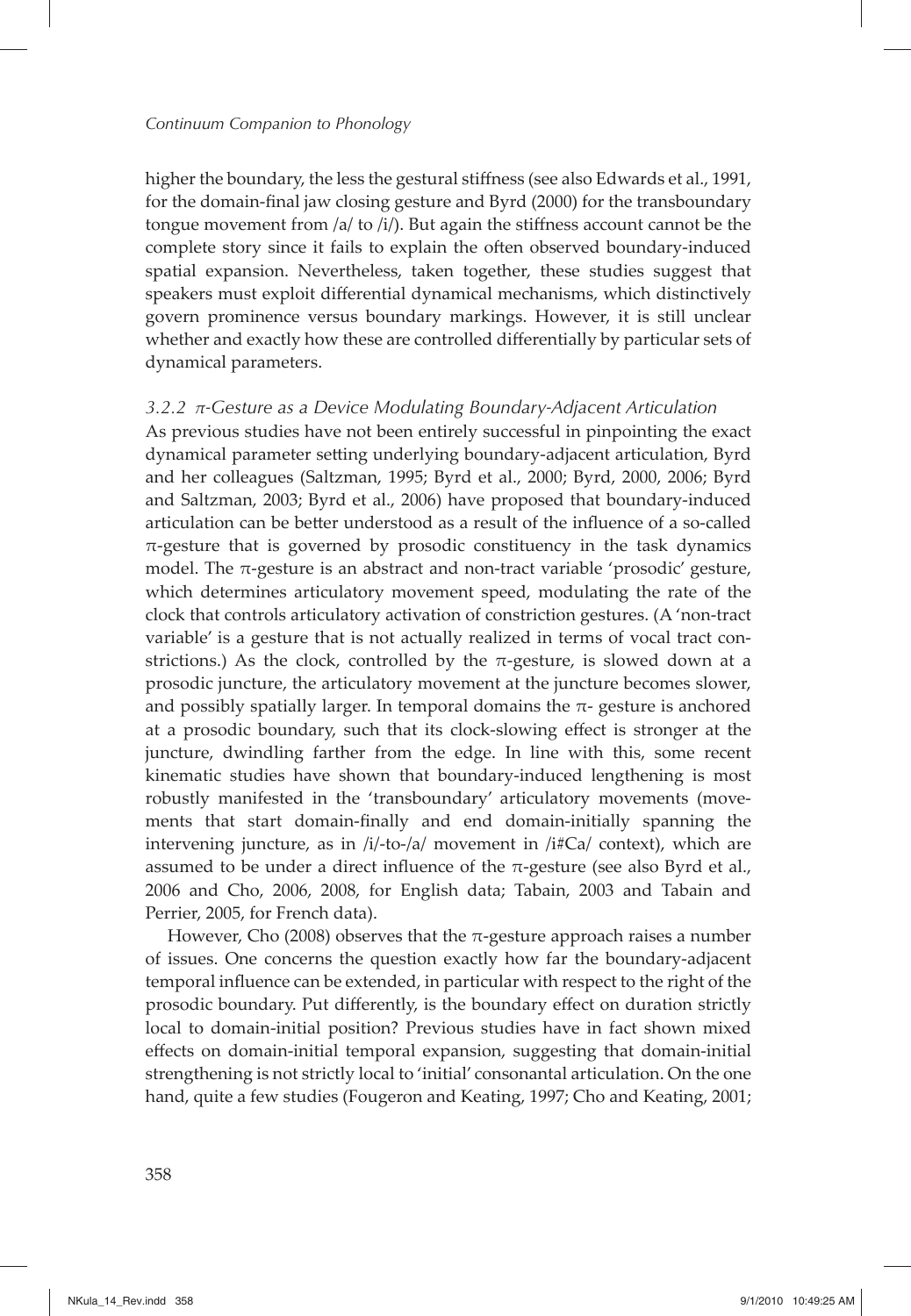higher the boundary, the less the gestural stiffness (see also Edwards et al., 1991, for the domain-final jaw closing gesture and Byrd (2000) for the transboundary tongue movement from  $a/d$  to  $b/d$ ). But again the stiffness account cannot be the complete story since it fails to explain the often observed boundary-induced spatial expansion. Nevertheless, taken together, these studies suggest that speakers must exploit differential dynamical mechanisms, which distinctively govern prominence versus boundary markings. However, it is still unclear whether and exactly how these are controlled differentially by particular sets of dynamical parameters.

#### *3.2.2 π-Gesture as a Device Modulating Boundary-Adjacent Articulation*

As previous studies have not been entirely successful in pinpointing the exact dynamical parameter setting underlying boundary-adjacent articulation, Byrd and her colleagues (Saltzman, 1995; Byrd et al., 2000; Byrd, 2000, 2006; Byrd and Saltzman, 2003; Byrd et al., 2006) have proposed that boundary-induced articulation can be better understood as a result of the influence of a so-called  $\pi$ -gesture that is governed by prosodic constituency in the task dynamics model. The  $\pi$ -gesture is an abstract and non-tract variable 'prosodic' gesture, which determines articulatory movement speed, modulating the rate of the clock that controls articulatory activation of constriction gestures. (A 'non-tract variable' is a gesture that is not actually realized in terms of vocal tract constrictions.) As the clock, controlled by the  $\pi$ -gesture, is slowed down at a prosodic juncture, the articulatory movement at the juncture becomes slower, and possibly spatially larger. In temporal domains the  $\pi$ - gesture is anchored at a prosodic boundary, such that its clock-slowing effect is stronger at the juncture, dwindling farther from the edge. In line with this, some recent kinematic studies have shown that boundary-induced lengthening is most robustly manifested in the 'transboundary' articulatory movements (movements that start domain-finally and end domain-initially spanning the intervening juncture, as in /i/-to-/a/ movement in /i#Ca/ context), which are assumed to be under a direct influence of the  $\pi$ -gesture (see also Byrd et al., 2006 and Cho, 2006, 2008, for English data; Tabain, 2003 and Tabain and Perrier, 2005, for French data).

However, Cho (2008) observes that the  $π$ -gesture approach raises a number of issues. One concerns the question exactly how far the boundary-adjacent temporal influence can be extended, in particular with respect to the right of the prosodic boundary. Put differently, is the boundary effect on duration strictly local to domain-initial position? Previous studies have in fact shown mixed effects on domain-initial temporal expansion, suggesting that domain-initial strengthening is not strictly local to 'initial' consonantal articulation. On the one hand, quite a few studies (Fougeron and Keating, 1997; Cho and Keating, 2001;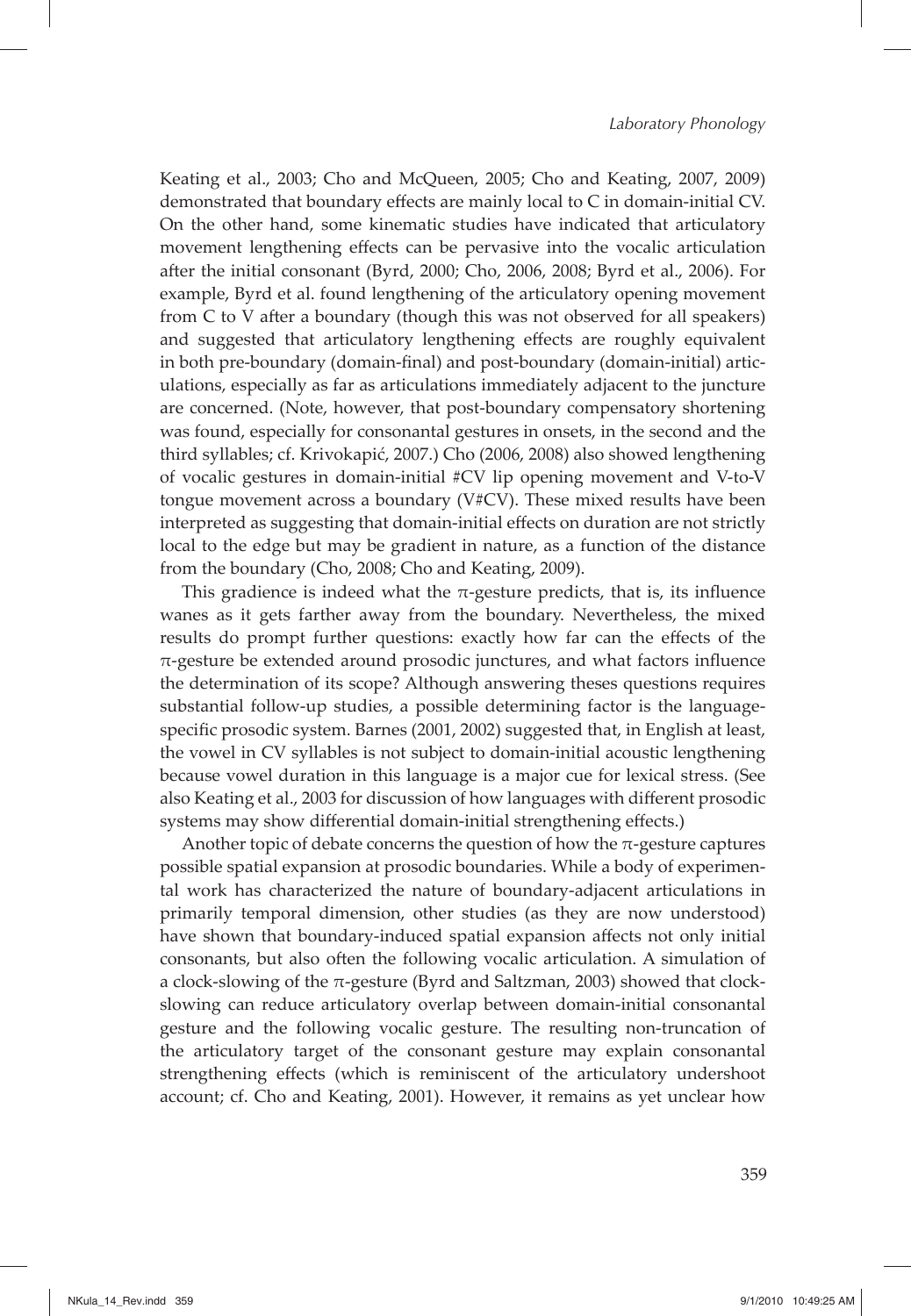Keating et al., 2003; Cho and McQueen, 2005; Cho and Keating, 2007, 2009) demonstrated that boundary effects are mainly local to C in domain-initial CV. On the other hand, some kinematic studies have indicated that articulatory movement lengthening effects can be pervasive into the vocalic articulation after the initial consonant (Byrd, 2000; Cho, 2006, 2008; Byrd et al., 2006). For example, Byrd et al. found lengthening of the articulatory opening movement from C to V after a boundary (though this was not observed for all speakers) and suggested that articulatory lengthening effects are roughly equivalent in both pre-boundary (domain-final) and post-boundary (domain-initial) articulations, especially as far as articulations immediately adjacent to the juncture are concerned. (Note, however, that post-boundary compensatory shortening was found, especially for consonantal gestures in onsets, in the second and the third syllables; cf. Krivokapić, 2007.) Cho (2006, 2008) also showed lengthening of vocalic gestures in domain-initial #CV lip opening movement and V-to-V tongue movement across a boundary (V#CV). These mixed results have been interpreted as suggesting that domain-initial effects on duration are not strictly local to the edge but may be gradient in nature, as a function of the distance from the boundary (Cho, 2008; Cho and Keating, 2009).

This gradience is indeed what the  $\pi$ -gesture predicts, that is, its influence wanes as it gets farther away from the boundary. Nevertheless, the mixed results do prompt further questions: exactly how far can the effects of the  $\pi$ -gesture be extended around prosodic junctures, and what factors influence the determination of its scope? Although answering theses questions requires substantial follow-up studies, a possible determining factor is the languagespecific prosodic system. Barnes (2001, 2002) suggested that, in English at least, the vowel in CV syllables is not subject to domain-initial acoustic lengthening because vowel duration in this language is a major cue for lexical stress. (See also Keating et al., 2003 for discussion of how languages with different prosodic systems may show differential domain-initial strengthening effects.)

Another topic of debate concerns the question of how the  $\pi$ -gesture captures possible spatial expansion at prosodic boundaries. While a body of experimental work has characterized the nature of boundary-adjacent articulations in primarily temporal dimension, other studies (as they are now understood) have shown that boundary-induced spatial expansion affects not only initial consonants, but also often the following vocalic articulation. A simulation of a clock-slowing of the π-gesture (Byrd and Saltzman, 2003) showed that clockslowing can reduce articulatory overlap between domain-initial consonantal gesture and the following vocalic gesture. The resulting non-truncation of the articulatory target of the consonant gesture may explain consonantal strengthening effects (which is reminiscent of the articulatory undershoot account; cf. Cho and Keating, 2001). However, it remains as yet unclear how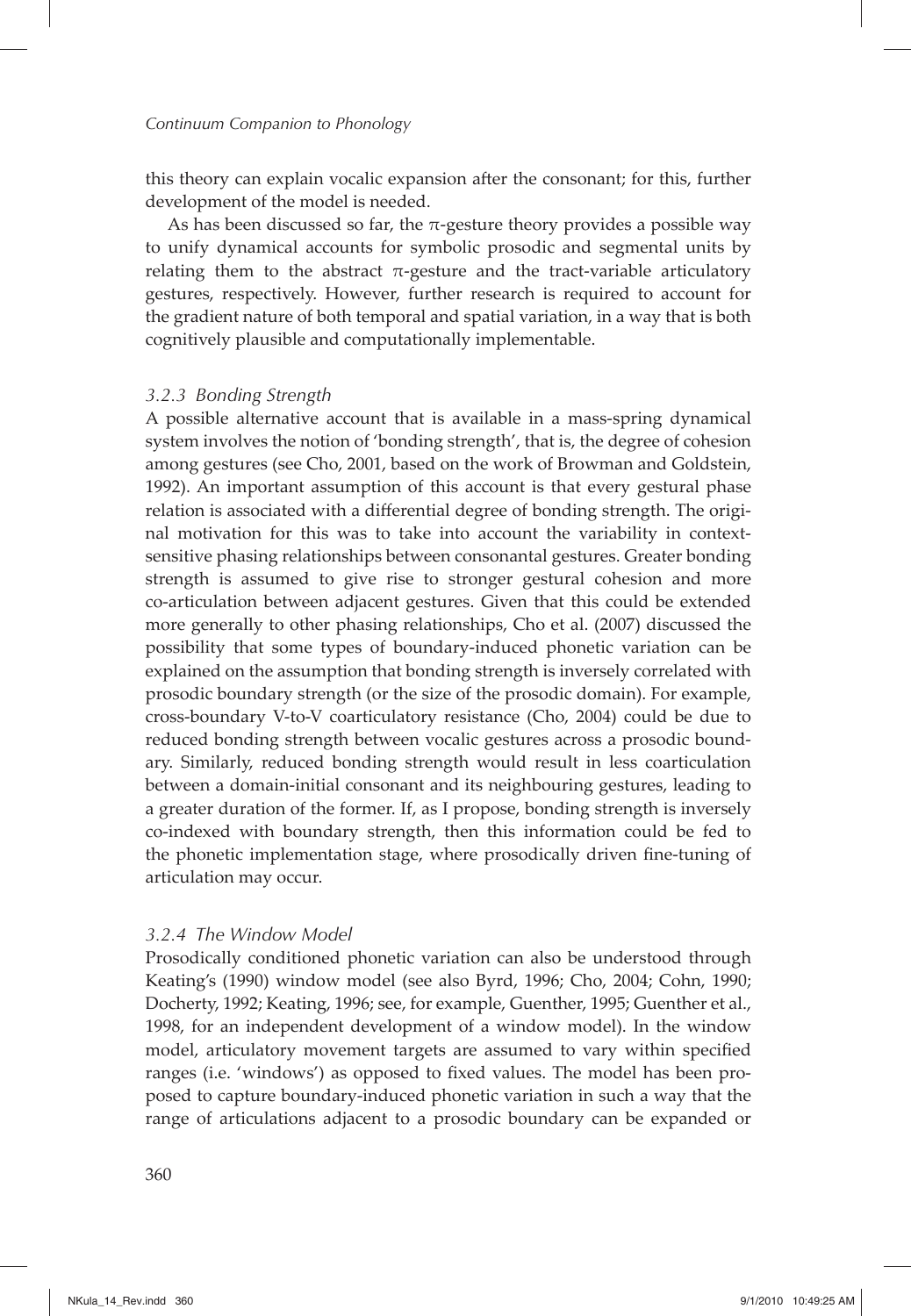this theory can explain vocalic expansion after the consonant; for this, further development of the model is needed.

As has been discussed so far, the  $\pi$ -gesture theory provides a possible way to unify dynamical accounts for symbolic prosodic and segmental units by relating them to the abstract  $\pi$ -gesture and the tract-variable articulatory gestures, respectively. However, further research is required to account for the gradient nature of both temporal and spatial variation, in a way that is both cognitively plausible and computationally implementable.

#### *3.2.3 Bonding Strength*

A possible alternative account that is available in a mass-spring dynamical system involves the notion of 'bonding strength', that is, the degree of cohesion among gestures (see Cho, 2001, based on the work of Browman and Goldstein, 1992). An important assumption of this account is that every gestural phase relation is associated with a differential degree of bonding strength. The original motivation for this was to take into account the variability in contextsensitive phasing relationships between consonantal gestures. Greater bonding strength is assumed to give rise to stronger gestural cohesion and more co-articulation between adjacent gestures. Given that this could be extended more generally to other phasing relationships, Cho et al. (2007) discussed the possibility that some types of boundary-induced phonetic variation can be explained on the assumption that bonding strength is inversely correlated with prosodic boundary strength (or the size of the prosodic domain). For example, cross-boundary V-to-V coarticulatory resistance (Cho, 2004) could be due to reduced bonding strength between vocalic gestures across a prosodic boundary. Similarly, reduced bonding strength would result in less coarticulation between a domain-initial consonant and its neighbouring gestures, leading to a greater duration of the former. If, as I propose, bonding strength is inversely co-indexed with boundary strength, then this information could be fed to the phonetic implementation stage, where prosodically driven fine-tuning of articulation may occur.

#### *3.2.4 The Window Model*

Prosodically conditioned phonetic variation can also be understood through Keating's (1990) window model (see also Byrd, 1996; Cho, 2004; Cohn, 1990; Docherty, 1992; Keating, 1996; see, for example, Guenther, 1995; Guenther et al., 1998, for an independent development of a window model). In the window model, articulatory movement targets are assumed to vary within specified ranges (i.e. 'windows') as opposed to fixed values. The model has been proposed to capture boundary-induced phonetic variation in such a way that the range of articulations adjacent to a prosodic boundary can be expanded or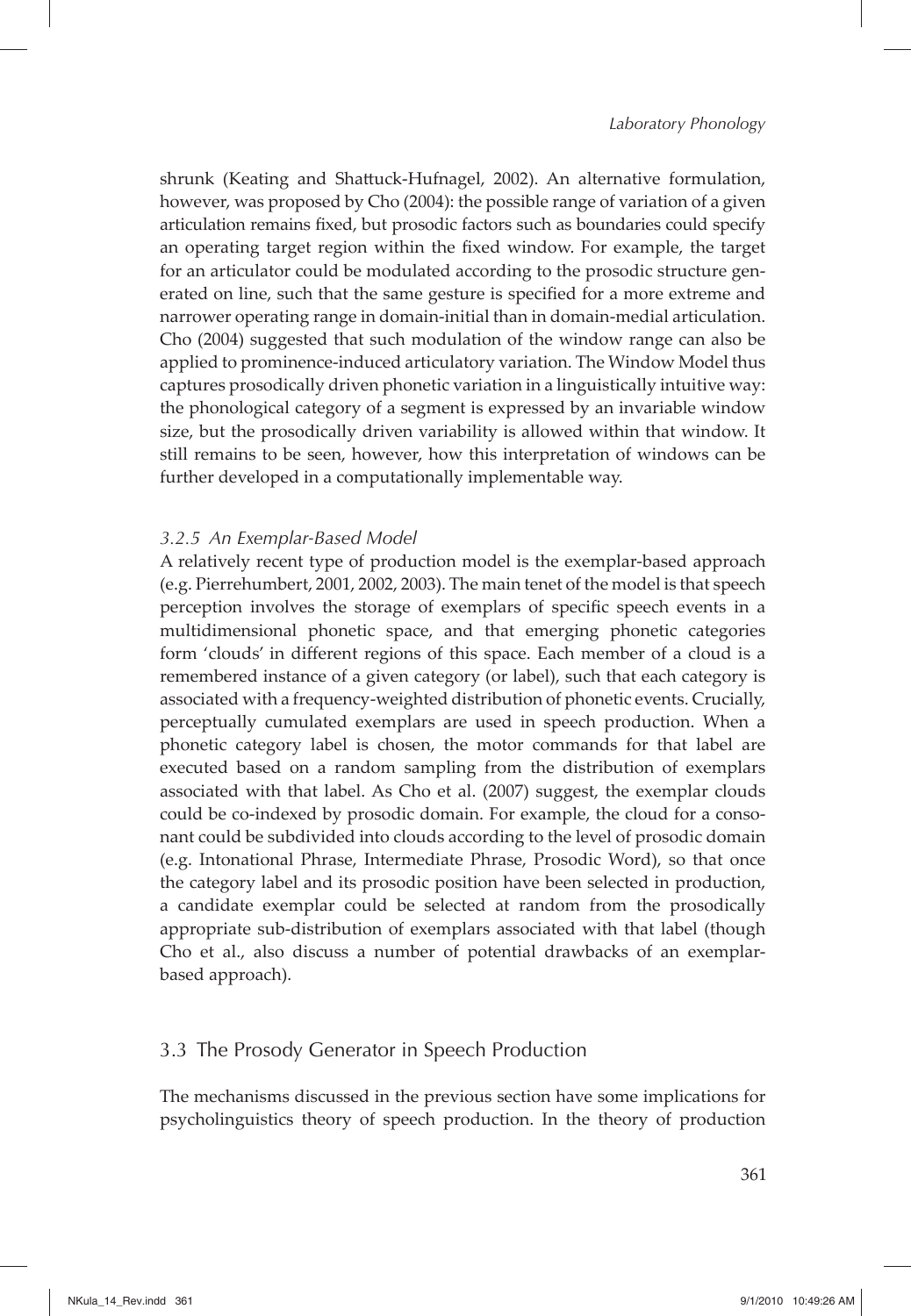shrunk (Keating and Shattuck-Hufnagel, 2002). An alternative formulation, however, was proposed by Cho (2004): the possible range of variation of a given articulation remains fixed, but prosodic factors such as boundaries could specify an operating target region within the fixed window. For example, the target for an articulator could be modulated according to the prosodic structure generated on line, such that the same gesture is specified for a more extreme and narrower operating range in domain-initial than in domain-medial articulation. Cho (2004) suggested that such modulation of the window range can also be applied to prominence-induced articulatory variation. The Window Model thus captures prosodically driven phonetic variation in a linguistically intuitive way: the phonological category of a segment is expressed by an invariable window size, but the prosodically driven variability is allowed within that window. It still remains to be seen, however, how this interpretation of windows can be further developed in a computationally implementable way.

#### *3.2.5 An Exemplar-Based Model*

A relatively recent type of production model is the exemplar-based approach (e.g. Pierrehumbert, 2001, 2002, 2003). The main tenet of the model is that speech perception involves the storage of exemplars of specific speech events in a multidimensional phonetic space, and that emerging phonetic categories form 'clouds' in different regions of this space. Each member of a cloud is a remembered instance of a given category (or label), such that each category is associated with a frequency-weighted distribution of phonetic events. Crucially, perceptually cumulated exemplars are used in speech production. When a phonetic category label is chosen, the motor commands for that label are executed based on a random sampling from the distribution of exemplars associated with that label. As Cho et al. (2007) suggest, the exemplar clouds could be co-indexed by prosodic domain. For example, the cloud for a consonant could be subdivided into clouds according to the level of prosodic domain (e.g. Intonational Phrase, Intermediate Phrase, Prosodic Word), so that once the category label and its prosodic position have been selected in production, a candidate exemplar could be selected at random from the prosodically appropriate sub-distribution of exemplars associated with that label (though Cho et al., also discuss a number of potential drawbacks of an exemplarbased approach).

#### 3.3 The Prosody Generator in Speech Production

The mechanisms discussed in the previous section have some implications for psycholinguistics theory of speech production. In the theory of production

361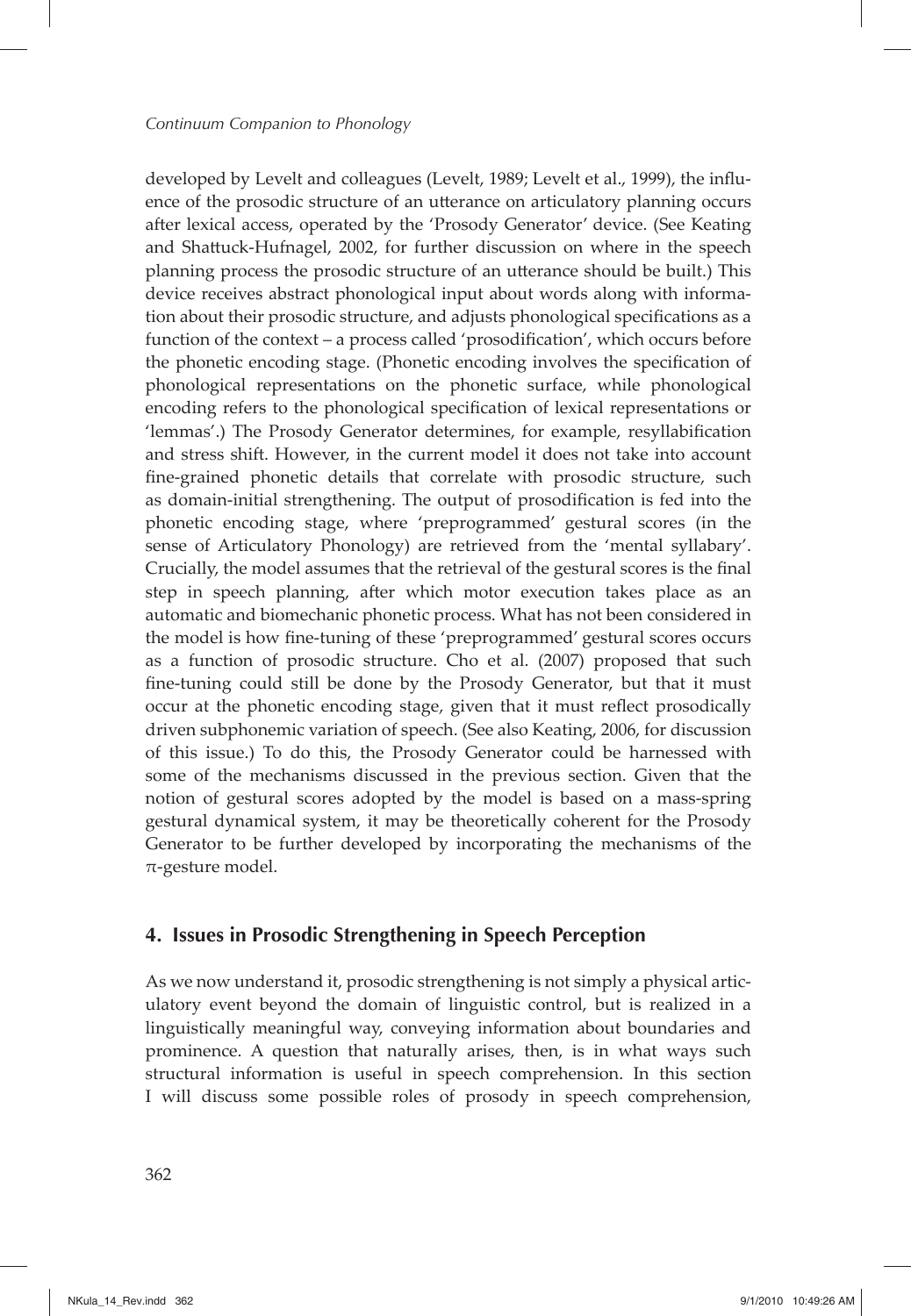developed by Levelt and colleagues (Levelt, 1989; Levelt et al., 1999), the influence of the prosodic structure of an utterance on articulatory planning occurs after lexical access, operated by the 'Prosody Generator' device. (See Keating and Shattuck-Hufnagel, 2002, for further discussion on where in the speech planning process the prosodic structure of an utterance should be built.) This device receives abstract phonological input about words along with information about their prosodic structure, and adjusts phonological specifications as a function of the context – a process called 'prosodification', which occurs before the phonetic encoding stage. (Phonetic encoding involves the specification of phonological representations on the phonetic surface, while phonological encoding refers to the phonological specification of lexical representations or 'lemmas'.) The Prosody Generator determines, for example, resyllabification and stress shift. However, in the current model it does not take into account fine-grained phonetic details that correlate with prosodic structure, such as domain-initial strengthening. The output of prosodification is fed into the phonetic encoding stage, where 'preprogrammed' gestural scores (in the sense of Articulatory Phonology) are retrieved from the 'mental syllabary'. Crucially, the model assumes that the retrieval of the gestural scores is the final step in speech planning, after which motor execution takes place as an automatic and biomechanic phonetic process. What has not been considered in the model is how fine-tuning of these 'preprogrammed' gestural scores occurs as a function of prosodic structure. Cho et al. (2007) proposed that such fine-tuning could still be done by the Prosody Generator, but that it must occur at the phonetic encoding stage, given that it must reflect prosodically driven subphonemic variation of speech. (See also Keating, 2006, for discussion of this issue.) To do this, the Prosody Generator could be harnessed with some of the mechanisms discussed in the previous section. Given that the notion of gestural scores adopted by the model is based on a mass-spring gestural dynamical system, it may be theoretically coherent for the Prosody Generator to be further developed by incorporating the mechanisms of the π-gesture model.

## **4. Issues in Prosodic Strengthening in Speech Perception**

As we now understand it, prosodic strengthening is not simply a physical articulatory event beyond the domain of linguistic control, but is realized in a linguistically meaningful way, conveying information about boundaries and prominence. A question that naturally arises, then, is in what ways such structural information is useful in speech comprehension. In this section I will discuss some possible roles of prosody in speech comprehension,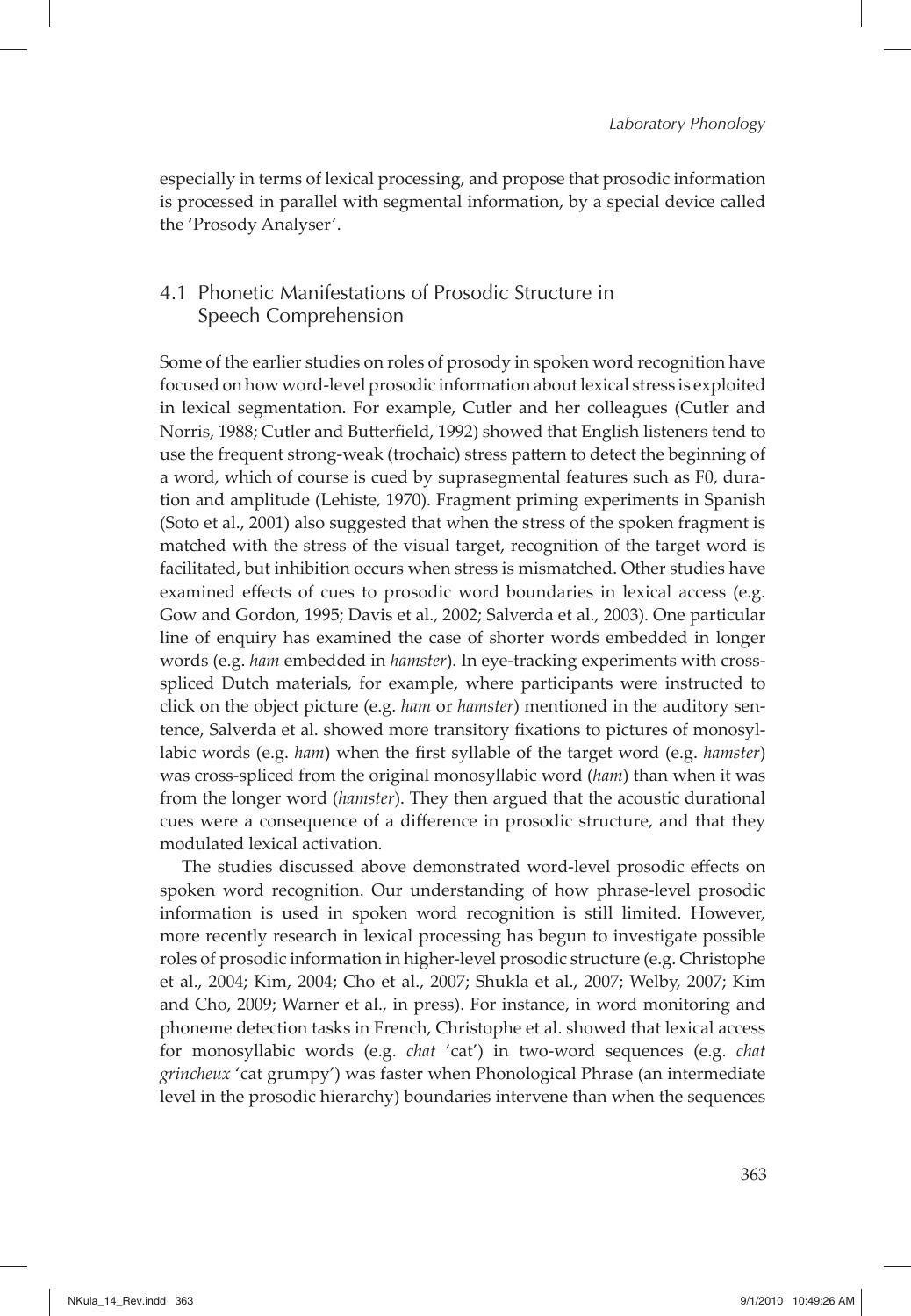especially in terms of lexical processing, and propose that prosodic information is processed in parallel with segmental information, by a special device called the 'Prosody Analyser'.

# 4.1 Phonetic Manifestations of Prosodic Structure in Speech Comprehension

Some of the earlier studies on roles of prosody in spoken word recognition have focused on how word-level prosodic information about lexical stress is exploited in lexical segmentation. For example, Cutler and her colleagues (Cutler and Norris, 1988; Cutler and Butterfield, 1992) showed that English listeners tend to use the frequent strong-weak (trochaic) stress pattern to detect the beginning of a word, which of course is cued by suprasegmental features such as F0, duration and amplitude (Lehiste, 1970). Fragment priming experiments in Spanish (Soto et al., 2001) also suggested that when the stress of the spoken fragment is matched with the stress of the visual target, recognition of the target word is facilitated, but inhibition occurs when stress is mismatched. Other studies have examined effects of cues to prosodic word boundaries in lexical access (e.g. Gow and Gordon, 1995; Davis et al., 2002; Salverda et al., 2003). One particular line of enquiry has examined the case of shorter words embedded in longer words (e.g. *ham* embedded in *hamster*). In eye-tracking experiments with crossspliced Dutch materials, for example, where participants were instructed to click on the object picture (e.g. *ham* or *hamster*) mentioned in the auditory sentence, Salverda et al. showed more transitory fixations to pictures of monosyllabic words (e.g. *ham*) when the first syllable of the target word (e.g. *hamster*) was cross-spliced from the original monosyllabic word (*ham*) than when it was from the longer word (*hamster*). They then argued that the acoustic durational cues were a consequence of a difference in prosodic structure, and that they modulated lexical activation.

The studies discussed above demonstrated word-level prosodic effects on spoken word recognition. Our understanding of how phrase-level prosodic information is used in spoken word recognition is still limited. However, more recently research in lexical processing has begun to investigate possible roles of prosodic information in higher-level prosodic structure (e.g. Christophe et al., 2004; Kim, 2004; Cho et al., 2007; Shukla et al., 2007; Welby, 2007; Kim and Cho, 2009; Warner et al., in press). For instance, in word monitoring and phoneme detection tasks in French, Christophe et al. showed that lexical access for monosyllabic words (e.g. *chat* 'cat') in two-word sequences (e.g. *chat grincheux* 'cat grumpy') was faster when Phonological Phrase (an intermediate level in the prosodic hierarchy) boundaries intervene than when the sequences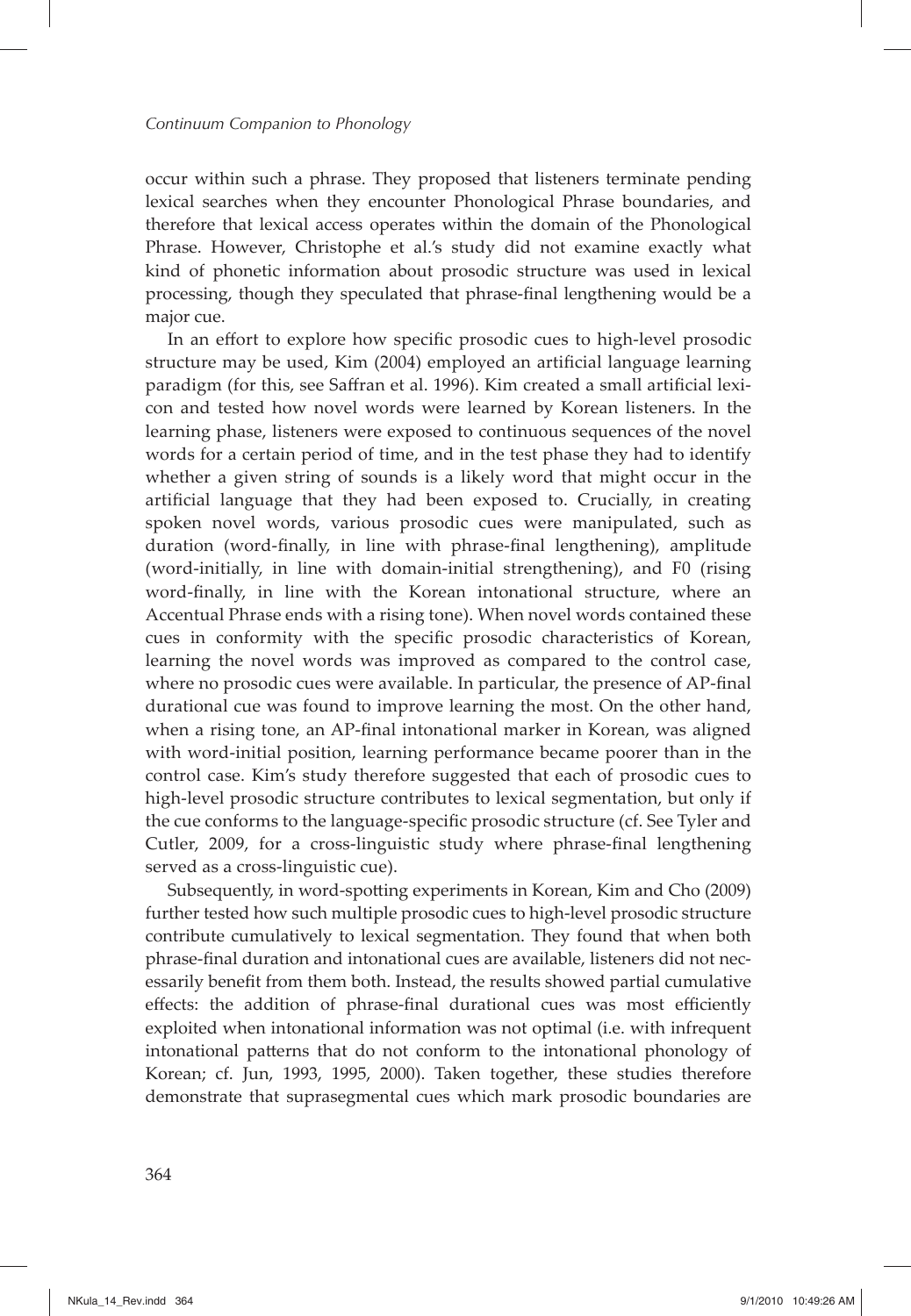occur within such a phrase. They proposed that listeners terminate pending lexical searches when they encounter Phonological Phrase boundaries, and therefore that lexical access operates within the domain of the Phonological Phrase. However, Christophe et al.'s study did not examine exactly what kind of phonetic information about prosodic structure was used in lexical processing, though they speculated that phrase-final lengthening would be a major cue.

In an effort to explore how specific prosodic cues to high-level prosodic structure may be used, Kim (2004) employed an artificial language learning paradigm (for this, see Saffran et al. 1996). Kim created a small artificial lexicon and tested how novel words were learned by Korean listeners. In the learning phase, listeners were exposed to continuous sequences of the novel words for a certain period of time, and in the test phase they had to identify whether a given string of sounds is a likely word that might occur in the artificial language that they had been exposed to. Crucially, in creating spoken novel words, various prosodic cues were manipulated, such as duration (word-finally, in line with phrase-final lengthening), amplitude (word-initially, in line with domain-initial strengthening), and F0 (rising word-finally, in line with the Korean intonational structure, where an Accentual Phrase ends with a rising tone). When novel words contained these cues in conformity with the specific prosodic characteristics of Korean, learning the novel words was improved as compared to the control case, where no prosodic cues were available. In particular, the presence of AP-final durational cue was found to improve learning the most. On the other hand, when a rising tone, an AP-final intonational marker in Korean, was aligned with word-initial position, learning performance became poorer than in the control case. Kim's study therefore suggested that each of prosodic cues to high-level prosodic structure contributes to lexical segmentation, but only if the cue conforms to the language-specific prosodic structure (cf. See Tyler and Cutler, 2009, for a cross-linguistic study where phrase-final lengthening served as a cross-linguistic cue).

Subsequently, in word-spotting experiments in Korean, Kim and Cho (2009) further tested how such multiple prosodic cues to high-level prosodic structure contribute cumulatively to lexical segmentation. They found that when both phrase-final duration and intonational cues are available, listeners did not necessarily benefit from them both. Instead, the results showed partial cumulative effects: the addition of phrase-final durational cues was most efficiently exploited when intonational information was not optimal (i.e. with infrequent intonational patterns that do not conform to the intonational phonology of Korean; cf. Jun, 1993, 1995, 2000). Taken together, these studies therefore demonstrate that suprasegmental cues which mark prosodic boundaries are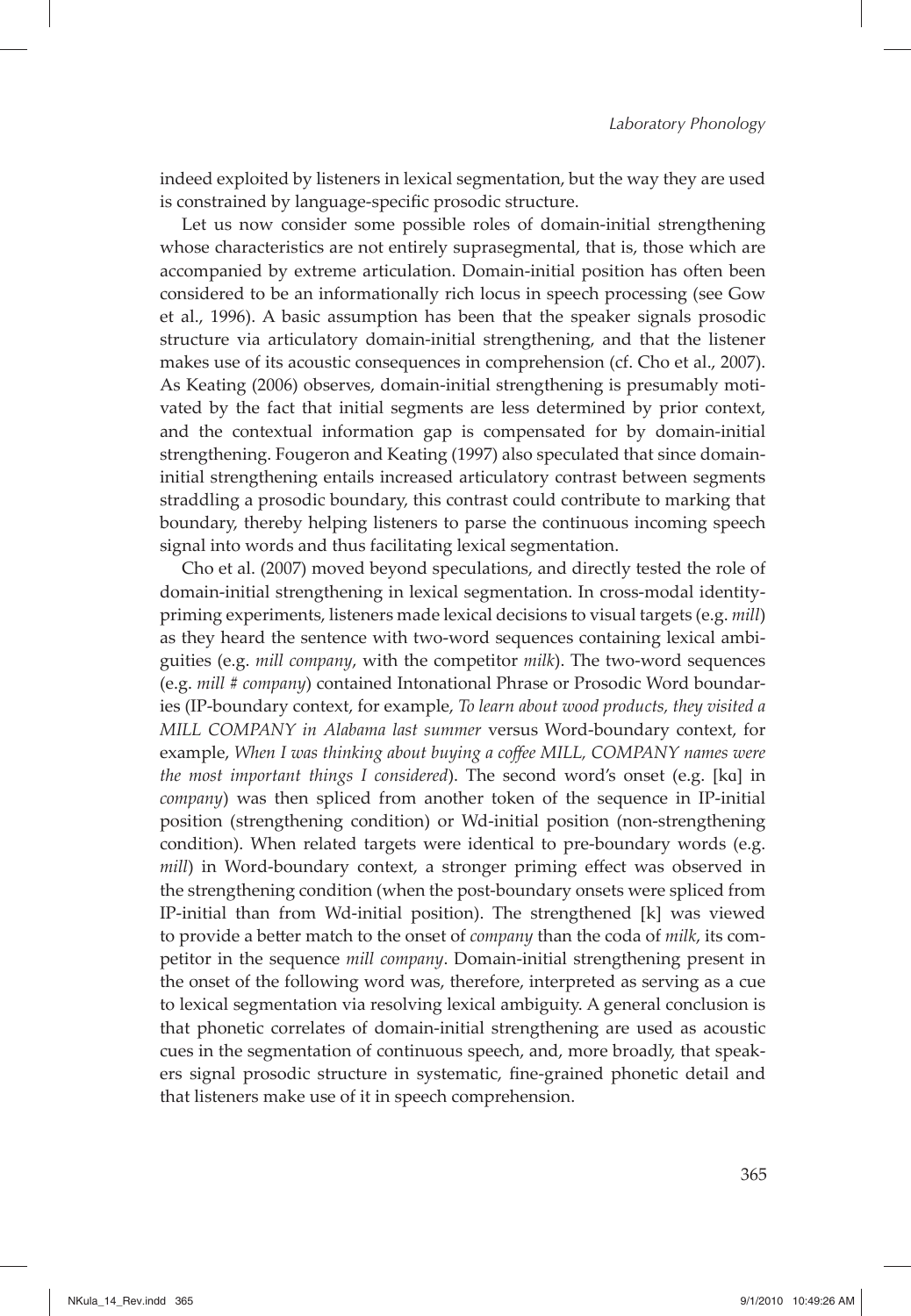indeed exploited by listeners in lexical segmentation, but the way they are used is constrained by language-specific prosodic structure.

Let us now consider some possible roles of domain-initial strengthening whose characteristics are not entirely suprasegmental, that is, those which are accompanied by extreme articulation. Domain-initial position has often been considered to be an informationally rich locus in speech processing (see Gow et al., 1996). A basic assumption has been that the speaker signals prosodic structure via articulatory domain-initial strengthening, and that the listener makes use of its acoustic consequences in comprehension (cf. Cho et al., 2007). As Keating (2006) observes, domain-initial strengthening is presumably motivated by the fact that initial segments are less determined by prior context, and the contextual information gap is compensated for by domain-initial strengthening. Fougeron and Keating (1997) also speculated that since domaininitial strengthening entails increased articulatory contrast between segments straddling a prosodic boundary, this contrast could contribute to marking that boundary, thereby helping listeners to parse the continuous incoming speech signal into words and thus facilitating lexical segmentation.

Cho et al. (2007) moved beyond speculations, and directly tested the role of domain-initial strengthening in lexical segmentation. In cross-modal identitypriming experiments, listeners made lexical decisions to visual targets (e.g. *mill*) as they heard the sentence with two-word sequences containing lexical ambiguities (e.g. *mill company*, with the competitor *milk*). The two-word sequences (e.g. *mill # company*) contained Intonational Phrase or Prosodic Word boundaries (IP-boundary context, for example, *To learn about wood products, they visited a MILL COMPANY in Alabama last summer* versus Word-boundary context, for example, *When I was thinking about buying a coffee MILL, COMPANY names were the most important things I considered*). The second word's onset (e.g. [kɑ] in *company*) was then spliced from another token of the sequence in IP-initial position (strengthening condition) or Wd-initial position (non-strengthening condition). When related targets were identical to pre-boundary words (e.g. *mill*) in Word-boundary context, a stronger priming effect was observed in the strengthening condition (when the post-boundary onsets were spliced from IP-initial than from Wd-initial position). The strengthened [k] was viewed to provide a better match to the onset of *company* than the coda of *milk*, its competitor in the sequence *mill company*. Domain-initial strengthening present in the onset of the following word was, therefore, interpreted as serving as a cue to lexical segmentation via resolving lexical ambiguity. A general conclusion is that phonetic correlates of domain-initial strengthening are used as acoustic cues in the segmentation of continuous speech, and, more broadly, that speakers signal prosodic structure in systematic, fine-grained phonetic detail and that listeners make use of it in speech comprehension.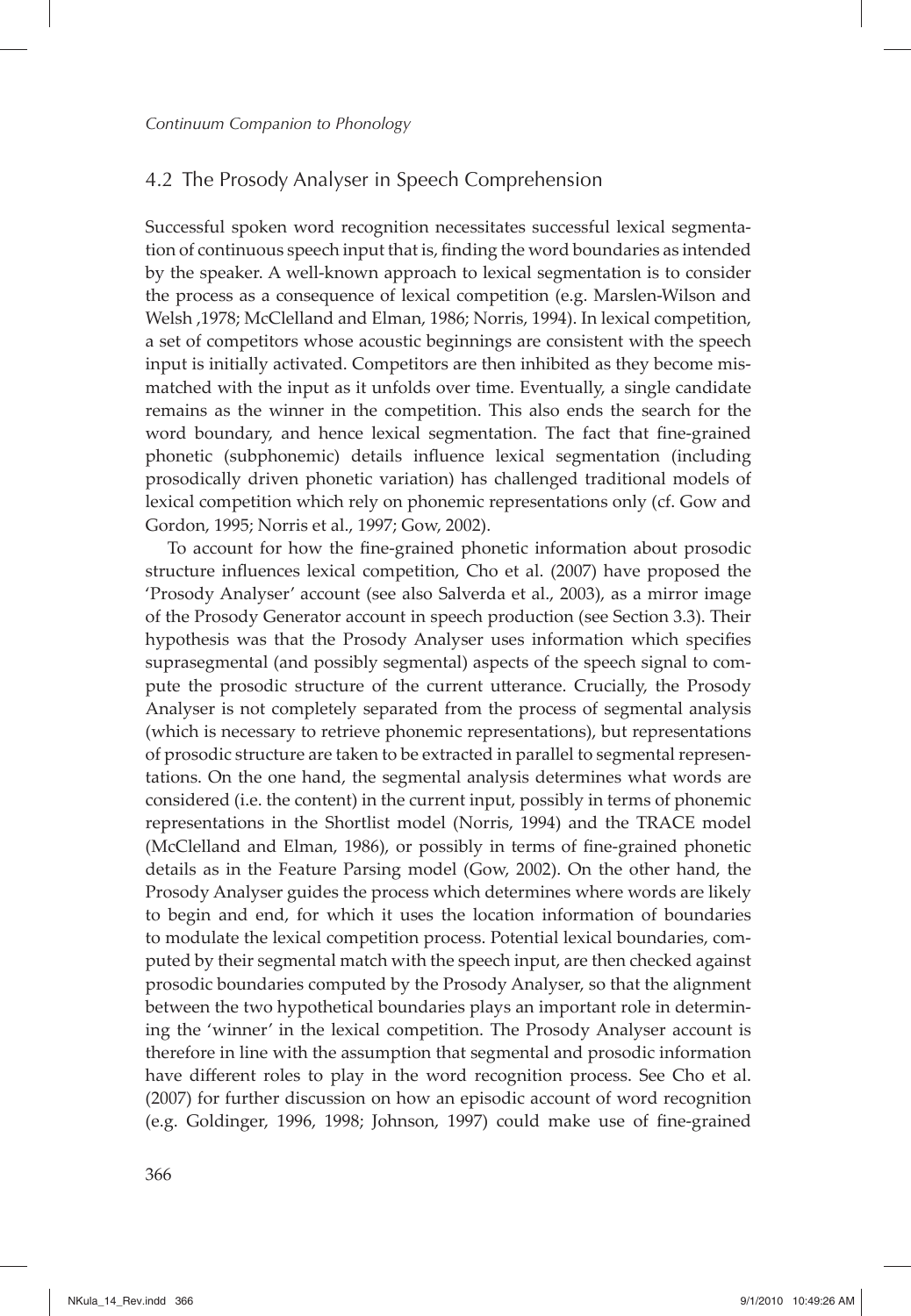## 4.2 The Prosody Analyser in Speech Comprehension

Successful spoken word recognition necessitates successful lexical segmentation of continuous speech input that is, finding the word boundaries as intended by the speaker. A well-known approach to lexical segmentation is to consider the process as a consequence of lexical competition (e.g. Marslen-Wilson and Welsh ,1978; McClelland and Elman, 1986; Norris, 1994). In lexical competition, a set of competitors whose acoustic beginnings are consistent with the speech input is initially activated. Competitors are then inhibited as they become mismatched with the input as it unfolds over time. Eventually, a single candidate remains as the winner in the competition. This also ends the search for the word boundary, and hence lexical segmentation. The fact that fine-grained phonetic (subphonemic) details influence lexical segmentation (including prosodically driven phonetic variation) has challenged traditional models of lexical competition which rely on phonemic representations only (cf. Gow and Gordon, 1995; Norris et al., 1997; Gow, 2002).

To account for how the fine-grained phonetic information about prosodic structure influences lexical competition, Cho et al. (2007) have proposed the 'Prosody Analyser' account (see also Salverda et al., 2003), as a mirror image of the Prosody Generator account in speech production (see Section 3.3). Their hypothesis was that the Prosody Analyser uses information which specifies suprasegmental (and possibly segmental) aspects of the speech signal to compute the prosodic structure of the current utterance. Crucially, the Prosody Analyser is not completely separated from the process of segmental analysis (which is necessary to retrieve phonemic representations), but representations of prosodic structure are taken to be extracted in parallel to segmental representations. On the one hand, the segmental analysis determines what words are considered (i.e. the content) in the current input, possibly in terms of phonemic representations in the Shortlist model (Norris, 1994) and the TRACE model (McClelland and Elman, 1986), or possibly in terms of fine-grained phonetic details as in the Feature Parsing model (Gow, 2002). On the other hand, the Prosody Analyser guides the process which determines where words are likely to begin and end, for which it uses the location information of boundaries to modulate the lexical competition process. Potential lexical boundaries, computed by their segmental match with the speech input, are then checked against prosodic boundaries computed by the Prosody Analyser, so that the alignment between the two hypothetical boundaries plays an important role in determining the 'winner' in the lexical competition. The Prosody Analyser account is therefore in line with the assumption that segmental and prosodic information have different roles to play in the word recognition process. See Cho et al. (2007) for further discussion on how an episodic account of word recognition (e.g. Goldinger, 1996, 1998; Johnson, 1997) could make use of fine-grained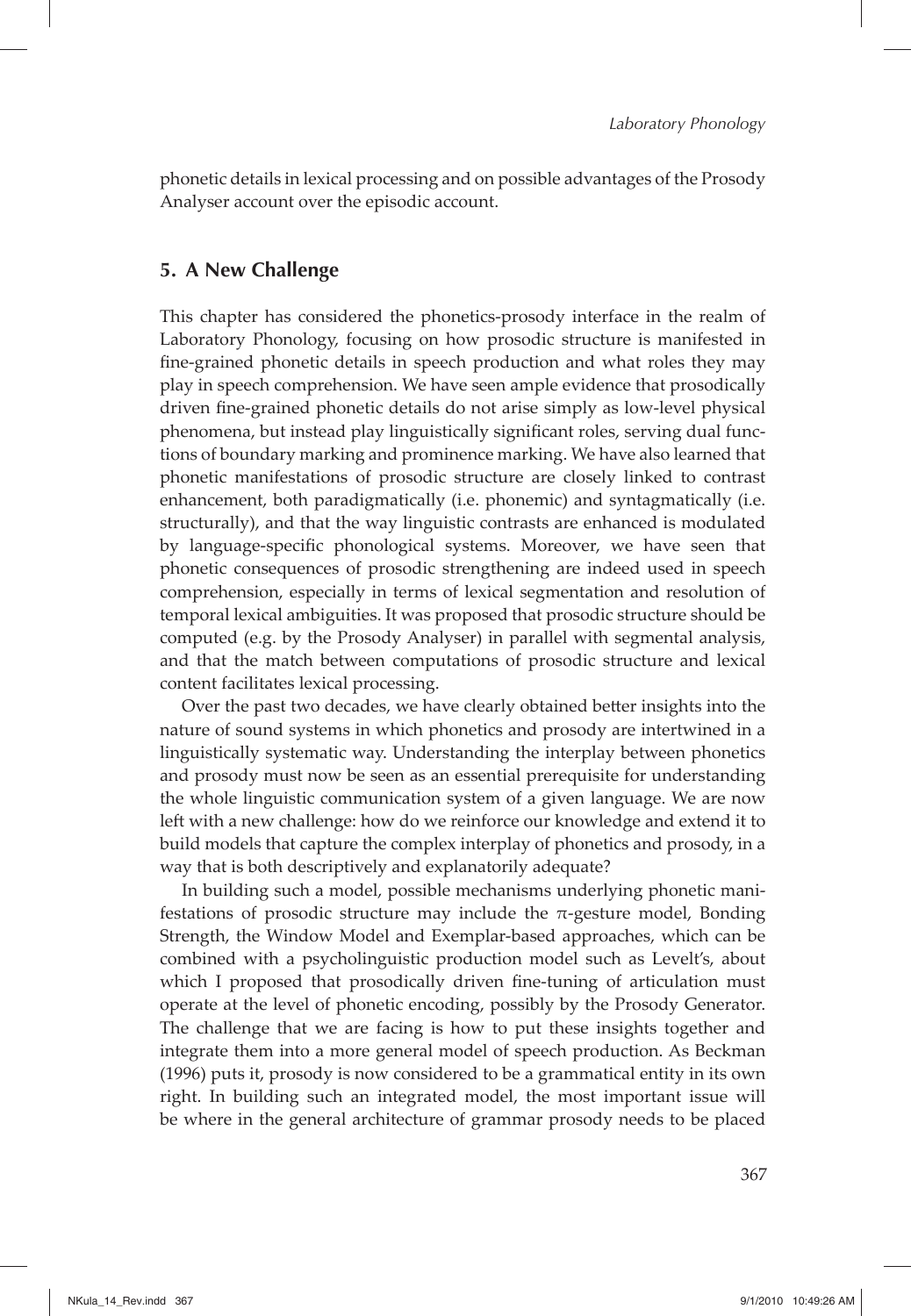phonetic details in lexical processing and on possible advantages of the Prosody Analyser account over the episodic account.

## **5. A New Challenge**

This chapter has considered the phonetics-prosody interface in the realm of Laboratory Phonology, focusing on how prosodic structure is manifested in fine-grained phonetic details in speech production and what roles they may play in speech comprehension. We have seen ample evidence that prosodically driven fine-grained phonetic details do not arise simply as low-level physical phenomena, but instead play linguistically significant roles, serving dual functions of boundary marking and prominence marking. We have also learned that phonetic manifestations of prosodic structure are closely linked to contrast enhancement, both paradigmatically (i.e. phonemic) and syntagmatically (i.e. structurally), and that the way linguistic contrasts are enhanced is modulated by language-specific phonological systems. Moreover, we have seen that phonetic consequences of prosodic strengthening are indeed used in speech comprehension, especially in terms of lexical segmentation and resolution of temporal lexical ambiguities. It was proposed that prosodic structure should be computed (e.g. by the Prosody Analyser) in parallel with segmental analysis, and that the match between computations of prosodic structure and lexical content facilitates lexical processing.

Over the past two decades, we have clearly obtained better insights into the nature of sound systems in which phonetics and prosody are intertwined in a linguistically systematic way. Understanding the interplay between phonetics and prosody must now be seen as an essential prerequisite for understanding the whole linguistic communication system of a given language. We are now left with a new challenge: how do we reinforce our knowledge and extend it to build models that capture the complex interplay of phonetics and prosody, in a way that is both descriptively and explanatorily adequate?

In building such a model, possible mechanisms underlying phonetic manifestations of prosodic structure may include the  $\pi$ -gesture model, Bonding Strength, the Window Model and Exemplar-based approaches, which can be combined with a psycholinguistic production model such as Levelt's, about which I proposed that prosodically driven fine-tuning of articulation must operate at the level of phonetic encoding, possibly by the Prosody Generator. The challenge that we are facing is how to put these insights together and integrate them into a more general model of speech production. As Beckman (1996) puts it, prosody is now considered to be a grammatical entity in its own right. In building such an integrated model, the most important issue will be where in the general architecture of grammar prosody needs to be placed

367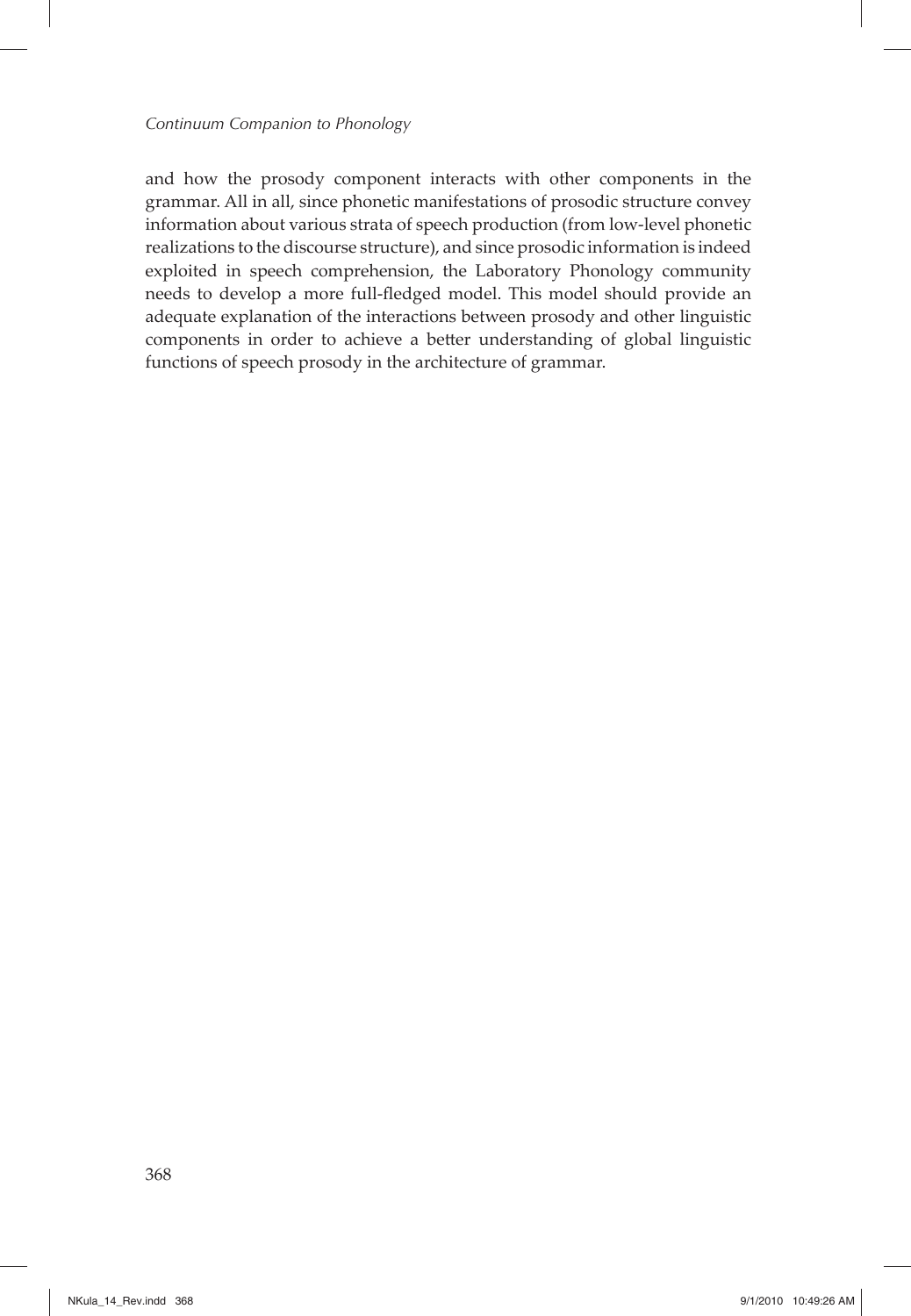and how the prosody component interacts with other components in the grammar. All in all, since phonetic manifestations of prosodic structure convey information about various strata of speech production (from low-level phonetic realizations to the discourse structure), and since prosodic information is indeed exploited in speech comprehension, the Laboratory Phonology community needs to develop a more full-fledged model. This model should provide an adequate explanation of the interactions between prosody and other linguistic components in order to achieve a better understanding of global linguistic functions of speech prosody in the architecture of grammar.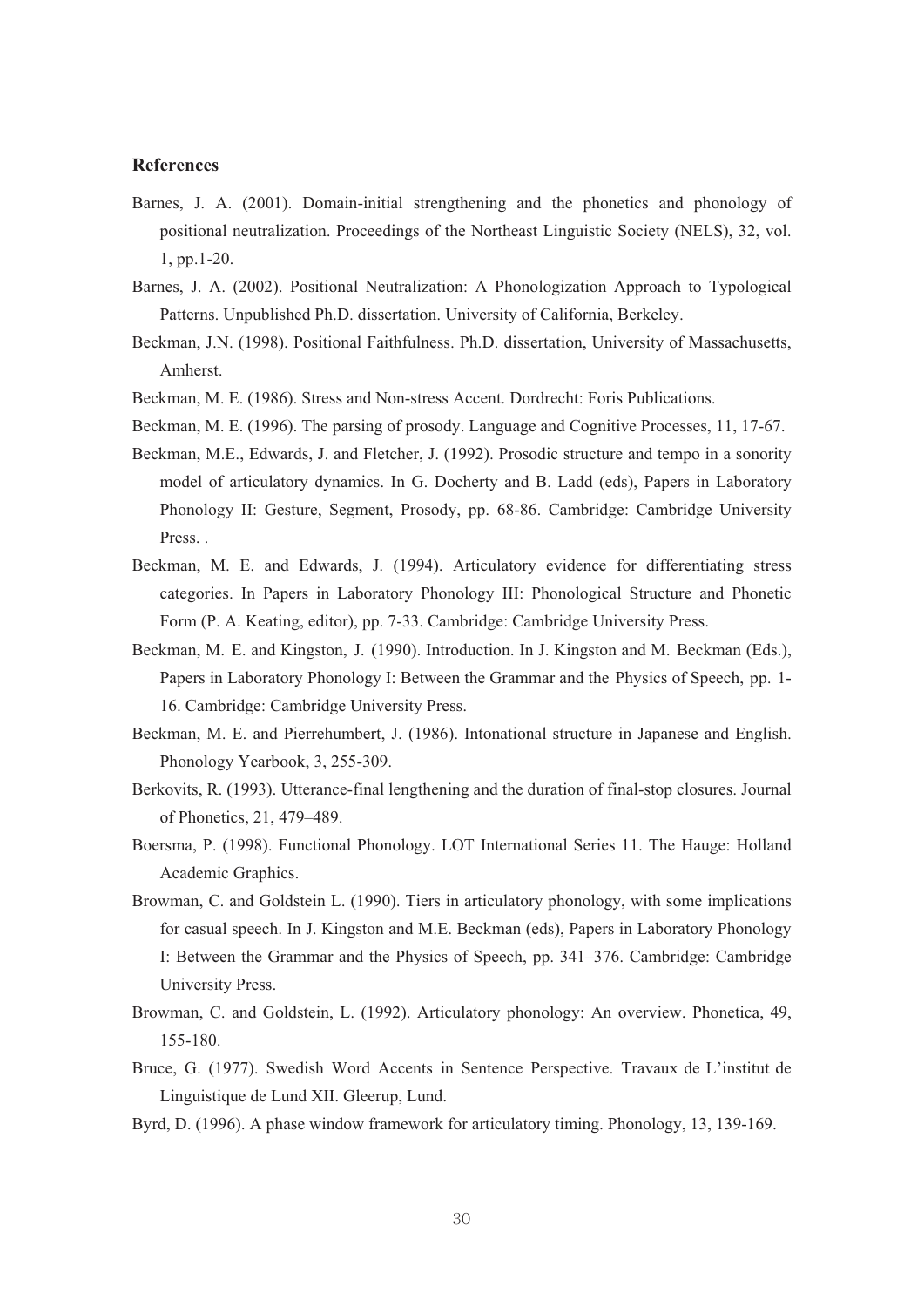## **References**

- Barnes, J. A. (2001). Domain-initial strengthening and the phonetics and phonology of positional neutralization. Proceedings of the Northeast Linguistic Society (NELS), 32, vol. 1, pp.1-20.
- Barnes, J. A. (2002). Positional Neutralization: A Phonologization Approach to Typological Patterns. Unpublished Ph.D. dissertation. University of California, Berkeley.
- Beckman, J.N. (1998). Positional Faithfulness. Ph.D. dissertation, University of Massachusetts, Amherst.
- Beckman, M. E. (1986). Stress and Non-stress Accent. Dordrecht: Foris Publications.
- Beckman, M. E. (1996). The parsing of prosody. Language and Cognitive Processes, 11, 17-67.
- Beckman, M.E., Edwards, J. and Fletcher, J. (1992). Prosodic structure and tempo in a sonority model of articulatory dynamics. In G. Docherty and B. Ladd (eds), Papers in Laboratory Phonology II: Gesture, Segment, Prosody, pp. 68-86. Cambridge: Cambridge University Press. .
- Beckman, M. E. and Edwards, J. (1994). Articulatory evidence for differentiating stress categories. In Papers in Laboratory Phonology III: Phonological Structure and Phonetic Form (P. A. Keating, editor), pp. 7-33. Cambridge: Cambridge University Press.
- Beckman, M. E. and Kingston, J. (1990). Introduction. In J. Kingston and M. Beckman (Eds.), Papers in Laboratory Phonology I: Between the Grammar and the Physics of Speech, pp. 1- 16. Cambridge: Cambridge University Press.
- Beckman, M. E. and Pierrehumbert, J. (1986). Intonational structure in Japanese and English. Phonology Yearbook, 3, 255-309.
- Berkovits, R. (1993). Utterance-final lengthening and the duration of final-stop closures. Journal of Phonetics, 21, 479–489.
- Boersma, P. (1998). Functional Phonology. LOT International Series 11. The Hauge: Holland Academic Graphics.
- Browman, C. and Goldstein L. (1990). Tiers in articulatory phonology, with some implications for casual speech. In J. Kingston and M.E. Beckman (eds), Papers in Laboratory Phonology I: Between the Grammar and the Physics of Speech, pp. 341–376. Cambridge: Cambridge University Press.
- Browman, C. and Goldstein, L. (1992). Articulatory phonology: An overview. Phonetica, 49, 155-180.
- Bruce, G. (1977). Swedish Word Accents in Sentence Perspective. Travaux de L'institut de Linguistique de Lund XII. Gleerup, Lund.
- Byrd, D. (1996). A phase window framework for articulatory timing. Phonology, 13, 139-169.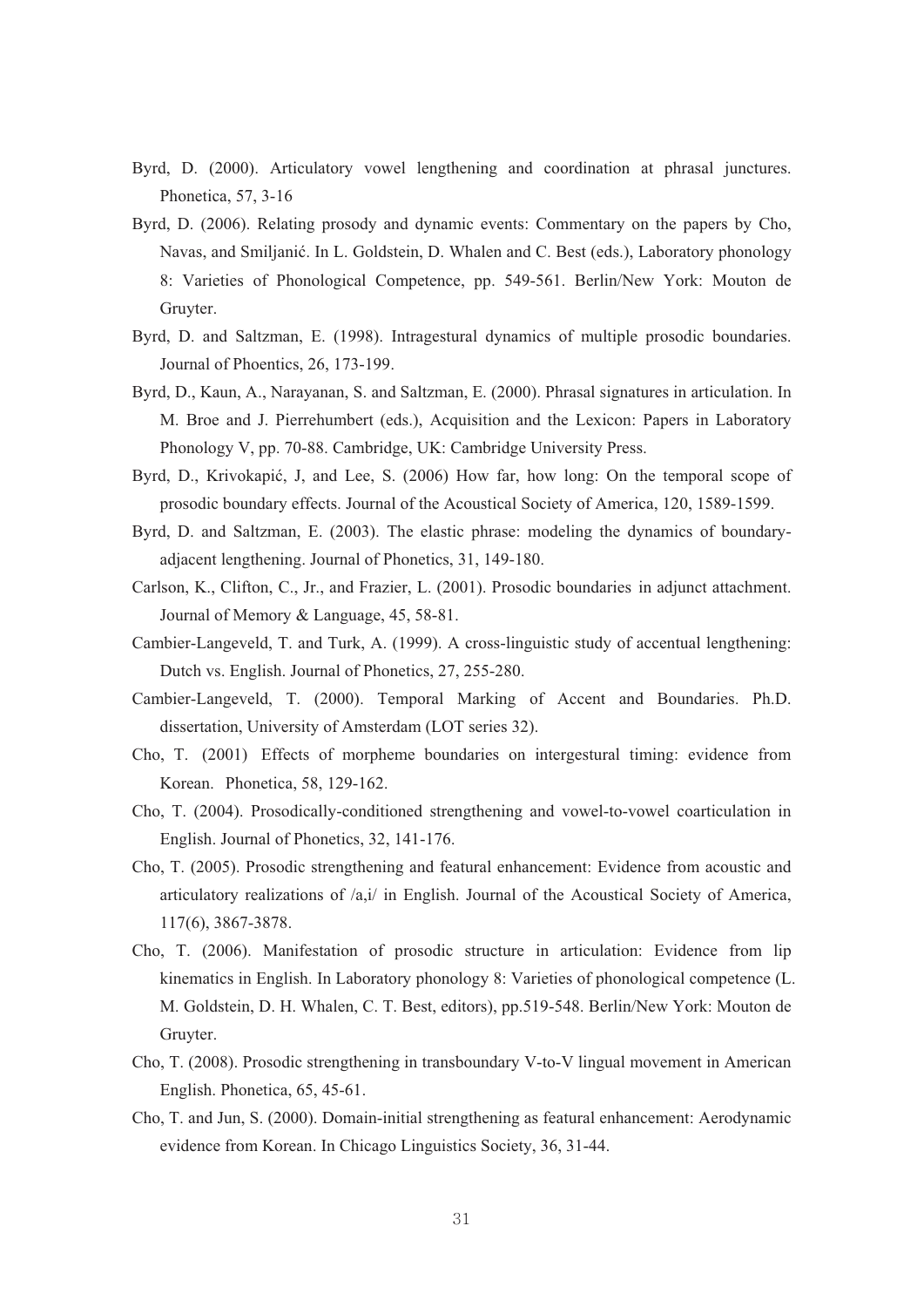- Byrd, D. (2000). Articulatory vowel lengthening and coordination at phrasal junctures. Phonetica, 57, 3-16
- Byrd, D. (2006). Relating prosody and dynamic events: Commentary on the papers by Cho, Navas, and Smiljanić. In L. Goldstein, D. Whalen and C. Best (eds.), Laboratory phonology 8: Varieties of Phonological Competence, pp. 549-561. Berlin/New York: Mouton de Gruyter.
- Byrd, D. and Saltzman, E. (1998). Intragestural dynamics of multiple prosodic boundaries. Journal of Phoentics, 26, 173-199.
- Byrd, D., Kaun, A., Narayanan, S. and Saltzman, E. (2000). Phrasal signatures in articulation. In M. Broe and J. Pierrehumbert (eds.), Acquisition and the Lexicon: Papers in Laboratory Phonology V, pp. 70-88. Cambridge, UK: Cambridge University Press.
- Byrd, D., Krivokapić, J, and Lee, S. (2006) How far, how long: On the temporal scope of prosodic boundary effects. Journal of the Acoustical Society of America, 120, 1589-1599.
- Byrd, D. and Saltzman, E. (2003). The elastic phrase: modeling the dynamics of boundaryadjacent lengthening. Journal of Phonetics, 31, 149-180.
- Carlson, K., Clifton, C., Jr., and Frazier, L. (2001). Prosodic boundaries in adjunct attachment. Journal of Memory & Language, 45, 58-81.
- Cambier-Langeveld, T. and Turk, A. (1999). A cross-linguistic study of accentual lengthening: Dutch vs. English. Journal of Phonetics, 27, 255-280.
- Cambier-Langeveld, T. (2000). Temporal Marking of Accent and Boundaries. Ph.D. dissertation, University of Amsterdam (LOT series 32).
- Cho, T. (2001) Effects of morpheme boundaries on intergestural timing: evidence from Korean. Phonetica, 58, 129-162.
- Cho, T. (2004). Prosodically-conditioned strengthening and vowel-to-vowel coarticulation in English. Journal of Phonetics, 32, 141-176.
- Cho, T. (2005). Prosodic strengthening and featural enhancement: Evidence from acoustic and articulatory realizations of /a,i/ in English. Journal of the Acoustical Society of America, 117(6), 3867-3878.
- Cho, T. (2006). Manifestation of prosodic structure in articulation: Evidence from lip kinematics in English. In Laboratory phonology 8: Varieties of phonological competence (L. M. Goldstein, D. H. Whalen, C. T. Best, editors), pp.519-548. Berlin/New York: Mouton de Gruyter.
- Cho, T. (2008). Prosodic strengthening in transboundary V-to-V lingual movement in American English. Phonetica, 65, 45-61.
- Cho, T. and Jun, S. (2000). Domain-initial strengthening as featural enhancement: Aerodynamic evidence from Korean. In Chicago Linguistics Society, 36, 31-44.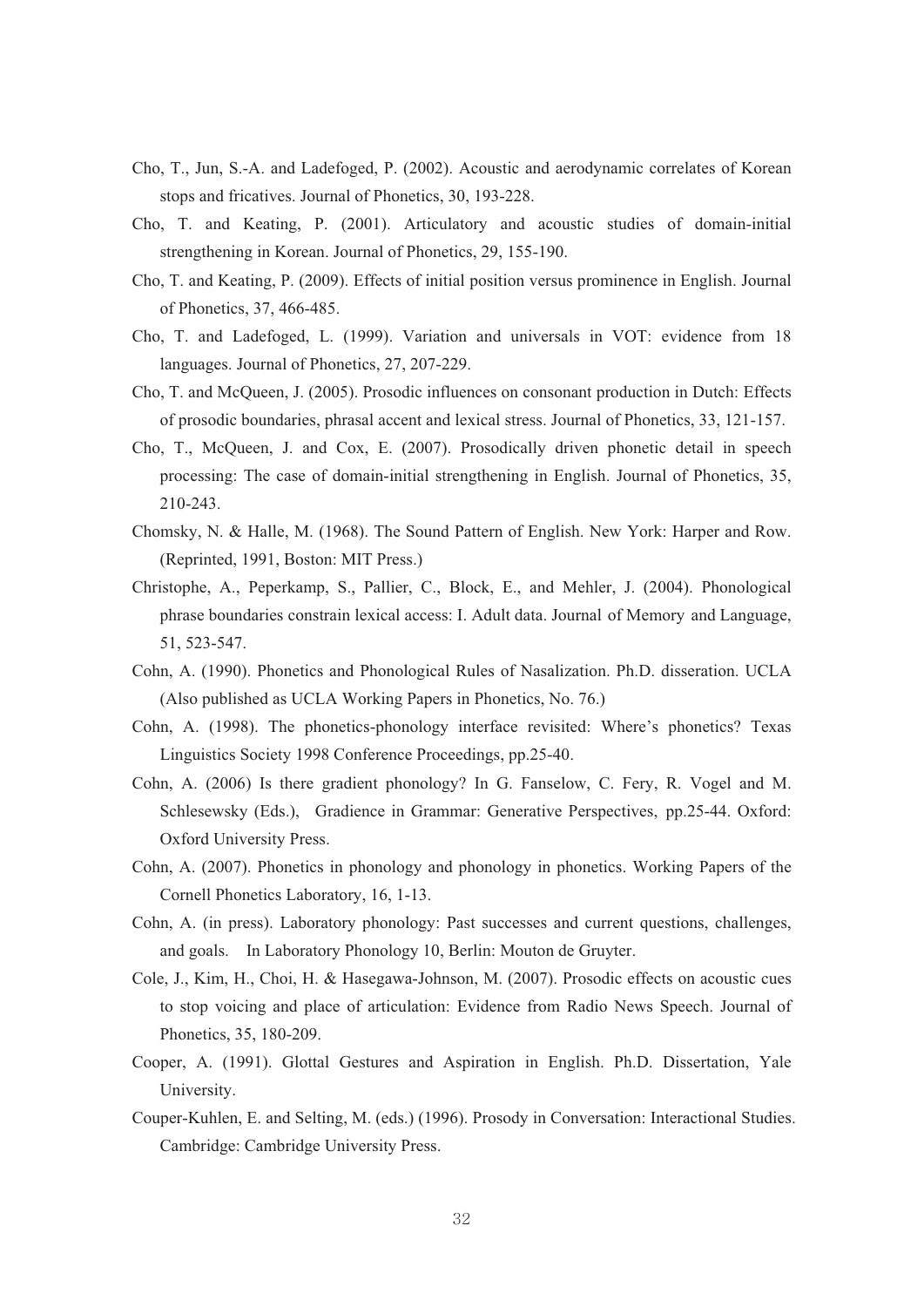- Cho, T., Jun, S.-A. and Ladefoged, P. (2002). Acoustic and aerodynamic correlates of Korean stops and fricatives. Journal of Phonetics, 30, 193-228.
- Cho, T. and Keating, P. (2001). Articulatory and acoustic studies of domain-initial strengthening in Korean. Journal of Phonetics, 29, 155-190.
- Cho, T. and Keating, P. (2009). Effects of initial position versus prominence in English. Journal of Phonetics, 37, 466-485.
- Cho, T. and Ladefoged, L. (1999). Variation and universals in VOT: evidence from 18 languages. Journal of Phonetics, 27, 207-229.
- Cho, T. and McQueen, J. (2005). Prosodic influences on consonant production in Dutch: Effects of prosodic boundaries, phrasal accent and lexical stress. Journal of Phonetics, 33, 121-157.
- Cho, T., McQueen, J. and Cox, E. (2007). Prosodically driven phonetic detail in speech processing: The case of domain-initial strengthening in English. Journal of Phonetics, 35, 210-243.
- Chomsky, N. & Halle, M. (1968). The Sound Pattern of English. New York: Harper and Row. (Reprinted, 1991, Boston: MIT Press.)
- Christophe, A., Peperkamp, S., Pallier, C., Block, E., and Mehler, J. (2004). Phonological phrase boundaries constrain lexical access: I. Adult data. Journal of Memory and Language, 51, 523-547.
- Cohn, A. (1990). Phonetics and Phonological Rules of Nasalization. Ph.D. disseration. UCLA (Also published as UCLA Working Papers in Phonetics, No. 76.)
- Cohn, A. (1998). The phonetics-phonology interface revisited: Where's phonetics? Texas Linguistics Society 1998 Conference Proceedings, pp.25-40.
- Cohn, A. (2006) Is there gradient phonology? In G. Fanselow, C. Fery, R. Vogel and M. Schlesewsky (Eds.), Gradience in Grammar: Generative Perspectives, pp.25-44. Oxford: Oxford University Press.
- Cohn, A. (2007). Phonetics in phonology and phonology in phonetics. Working Papers of the Cornell Phonetics Laboratory, 16, 1-13.
- Cohn, A. (in press). Laboratory phonology: Past successes and current questions, challenges, and goals. In Laboratory Phonology 10, Berlin: Mouton de Gruyter.
- Cole, J., Kim, H., Choi, H. & Hasegawa-Johnson, M. (2007). Prosodic effects on acoustic cues to stop voicing and place of articulation: Evidence from Radio News Speech. Journal of Phonetics, 35, 180-209.
- Cooper, A. (1991). Glottal Gestures and Aspiration in English. Ph.D. Dissertation, Yale University.
- Couper-Kuhlen, E. and Selting, M. (eds.) (1996). Prosody in Conversation: Interactional Studies. Cambridge: Cambridge University Press.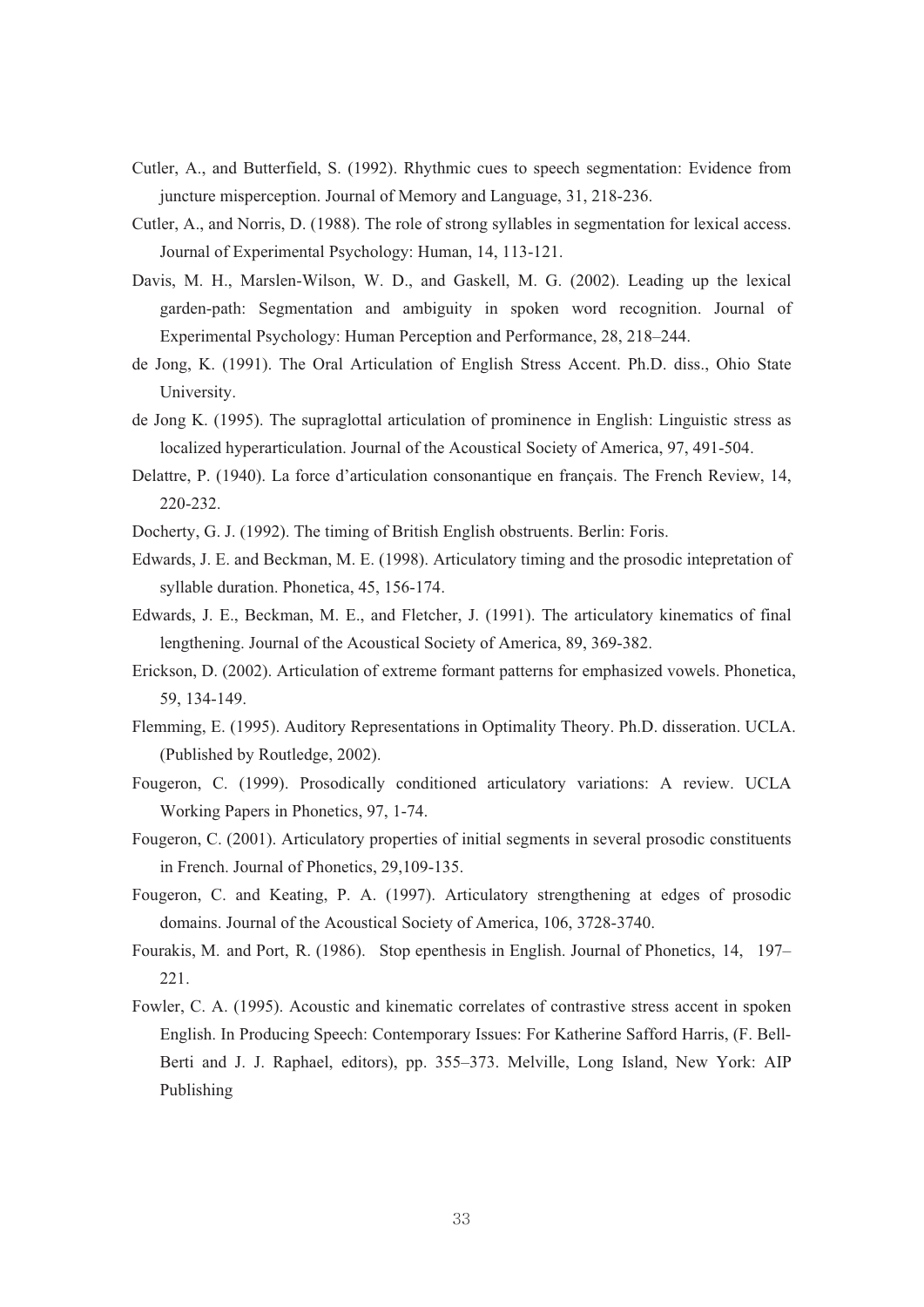- Cutler, A., and Butterfield, S. (1992). Rhythmic cues to speech segmentation: Evidence from juncture misperception. Journal of Memory and Language, 31, 218-236.
- Cutler, A., and Norris, D. (1988). The role of strong syllables in segmentation for lexical access. Journal of Experimental Psychology: Human, 14, 113-121.
- Davis, M. H., Marslen-Wilson, W. D., and Gaskell, M. G. (2002). Leading up the lexical garden-path: Segmentation and ambiguity in spoken word recognition. Journal of Experimental Psychology: Human Perception and Performance, 28, 218–244.
- de Jong, K. (1991). The Oral Articulation of English Stress Accent. Ph.D. diss., Ohio State University.
- de Jong K. (1995). The supraglottal articulation of prominence in English: Linguistic stress as localized hyperarticulation. Journal of the Acoustical Society of America, 97, 491-504.
- Delattre, P. (1940). La force d'articulation consonantique en français. The French Review, 14, 220-232.
- Docherty, G. J. (1992). The timing of British English obstruents. Berlin: Foris.
- Edwards, J. E. and Beckman, M. E. (1998). Articulatory timing and the prosodic intepretation of syllable duration. Phonetica, 45, 156-174.
- Edwards, J. E., Beckman, M. E., and Fletcher, J. (1991). The articulatory kinematics of final lengthening. Journal of the Acoustical Society of America, 89, 369-382.
- Erickson, D. (2002). Articulation of extreme formant patterns for emphasized vowels. Phonetica, 59, 134-149.
- Flemming, E. (1995). Auditory Representations in Optimality Theory. Ph.D. disseration. UCLA. (Published by Routledge, 2002).
- Fougeron, C. (1999). Prosodically conditioned articulatory variations: A review. UCLA Working Papers in Phonetics, 97, 1-74.
- Fougeron, C. (2001). Articulatory properties of initial segments in several prosodic constituents in French. Journal of Phonetics, 29,109-135.
- Fougeron, C. and Keating, P. A. (1997). Articulatory strengthening at edges of prosodic domains. Journal of the Acoustical Society of America, 106, 3728-3740.
- Fourakis, M. and Port, R. (1986). Stop epenthesis in English. Journal of Phonetics, 14, 197– 221.
- Fowler, C. A. (1995). Acoustic and kinematic correlates of contrastive stress accent in spoken English. In Producing Speech: Contemporary Issues: For Katherine Safford Harris, (F. Bell-Berti and J. J. Raphael, editors), pp. 355–373. Melville, Long Island, New York: AIP Publishing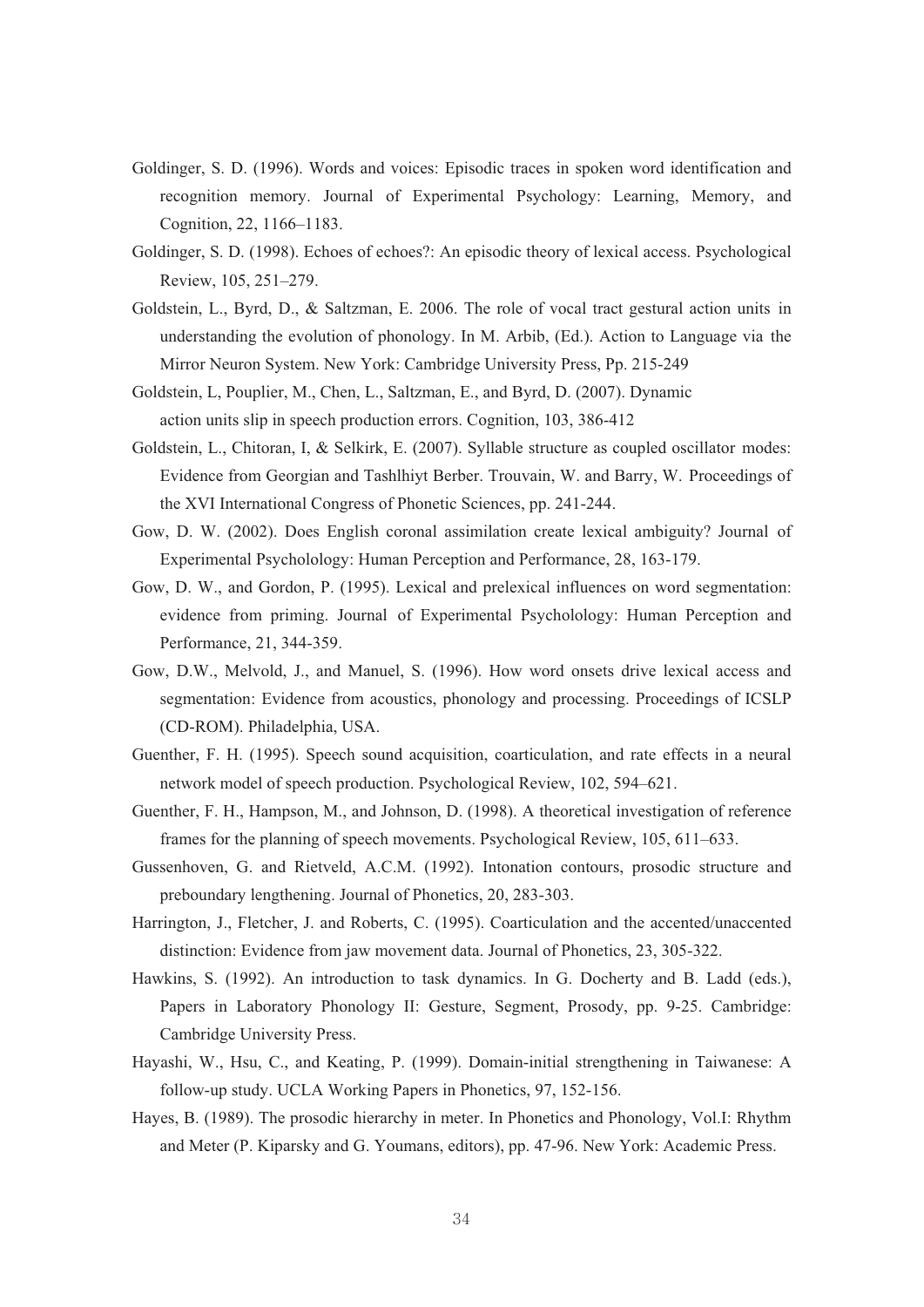- Goldinger, S. D. (1996). Words and voices: Episodic traces in spoken word identification and recognition memory. Journal of Experimental Psychology: Learning, Memory, and Cognition, 22, 1166–1183.
- Goldinger, S. D. (1998). Echoes of echoes?: An episodic theory of lexical access. Psychological Review, 105, 251–279.
- Goldstein, L., Byrd, D., & Saltzman, E. 2006. The role of vocal tract gestural action units in understanding the evolution of phonology. In M. Arbib, (Ed.). Action to Language via the Mirror Neuron System. New York: Cambridge University Press, Pp. 215-249
- Goldstein, L, Pouplier, M., Chen, L., Saltzman, E., and Byrd, D. (2007). Dynamic action units slip in speech production errors. Cognition, 103, 386-412
- Goldstein, L., Chitoran, I, & Selkirk, E. (2007). Syllable structure as coupled oscillator modes: Evidence from Georgian and Tashlhiyt Berber. Trouvain, W. and Barry, W. Proceedings of the XVI International Congress of Phonetic Sciences, pp. 241-244.
- Gow, D. W. (2002). Does English coronal assimilation create lexical ambiguity? Journal of Experimental Psycholology: Human Perception and Performance, 28, 163-179.
- Gow, D. W., and Gordon, P. (1995). Lexical and prelexical influences on word segmentation: evidence from priming. Journal of Experimental Psycholology: Human Perception and Performance, 21, 344-359.
- Gow, D.W., Melvold, J., and Manuel, S. (1996). How word onsets drive lexical access and segmentation: Evidence from acoustics, phonology and processing. Proceedings of ICSLP (CD-ROM). Philadelphia, USA.
- Guenther, F. H. (1995). Speech sound acquisition, coarticulation, and rate effects in a neural network model of speech production. Psychological Review, 102, 594–621.
- Guenther, F. H., Hampson, M., and Johnson, D. (1998). A theoretical investigation of reference frames for the planning of speech movements. Psychological Review, 105, 611–633.
- Gussenhoven, G. and Rietveld, A.C.M. (1992). Intonation contours, prosodic structure and preboundary lengthening. Journal of Phonetics, 20, 283-303.
- Harrington, J., Fletcher, J. and Roberts, C. (1995). Coarticulation and the accented/unaccented distinction: Evidence from jaw movement data. Journal of Phonetics, 23, 305-322.
- Hawkins, S. (1992). An introduction to task dynamics. In G. Docherty and B. Ladd (eds.), Papers in Laboratory Phonology II: Gesture, Segment, Prosody, pp. 9-25. Cambridge: Cambridge University Press.
- Hayashi, W., Hsu, C., and Keating, P. (1999). Domain-initial strengthening in Taiwanese: A follow-up study. UCLA Working Papers in Phonetics, 97, 152-156.
- Hayes, B. (1989). The prosodic hierarchy in meter. In Phonetics and Phonology, Vol.I: Rhythm and Meter (P. Kiparsky and G. Youmans, editors), pp. 47-96. New York: Academic Press.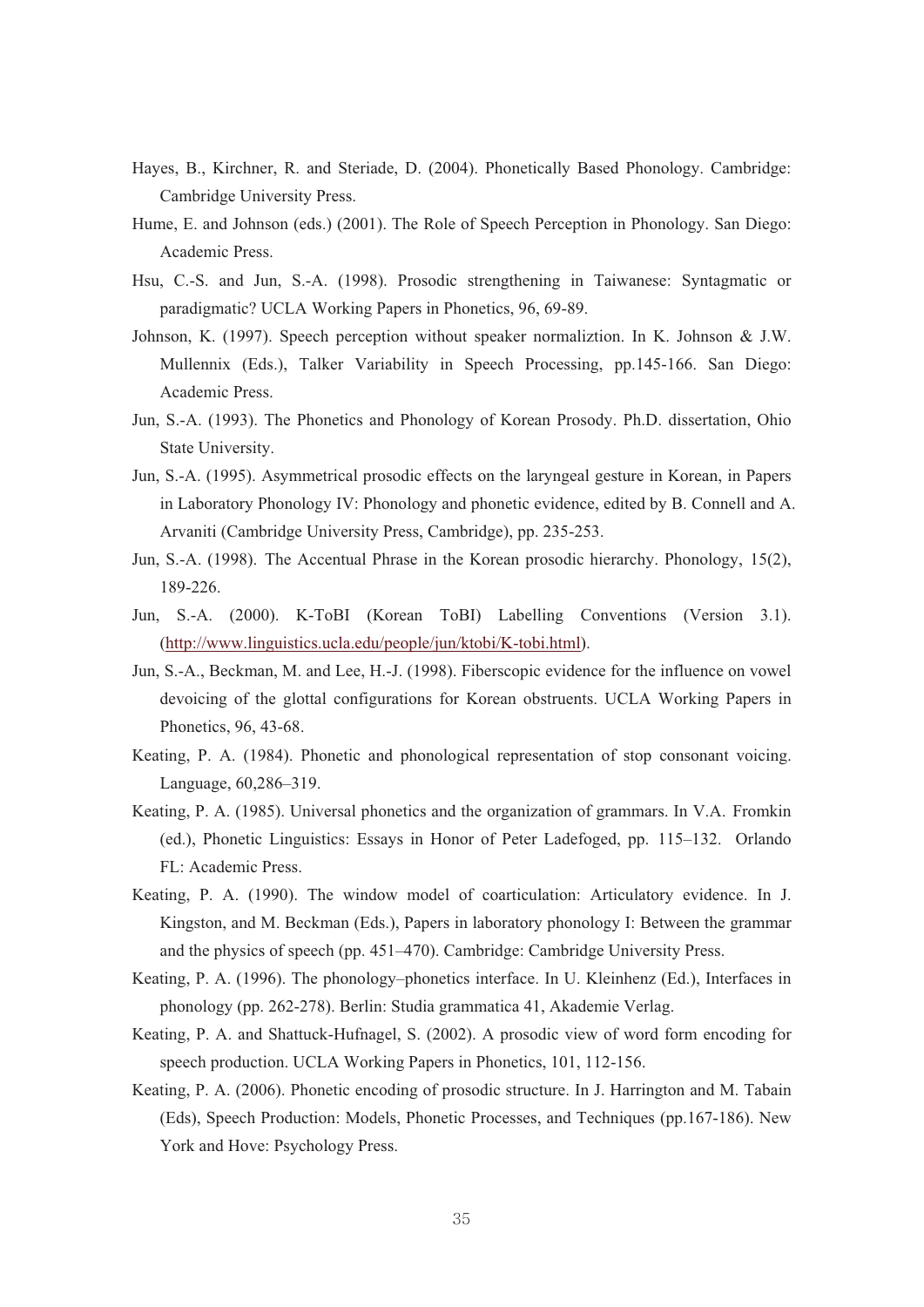- Hayes, B., Kirchner, R. and Steriade, D. (2004). Phonetically Based Phonology. Cambridge: Cambridge University Press.
- Hume, E. and Johnson (eds.) (2001). The Role of Speech Perception in Phonology. San Diego: Academic Press.
- Hsu, C.-S. and Jun, S.-A. (1998). Prosodic strengthening in Taiwanese: Syntagmatic or paradigmatic? UCLA Working Papers in Phonetics, 96, 69-89.
- Johnson, K. (1997). Speech perception without speaker normaliztion. In K. Johnson & J.W. Mullennix (Eds.), Talker Variability in Speech Processing, pp.145-166. San Diego: Academic Press.
- Jun, S.-A. (1993). The Phonetics and Phonology of Korean Prosody. Ph.D. dissertation, Ohio State University.
- Jun, S.-A. (1995). Asymmetrical prosodic effects on the laryngeal gesture in Korean, in Papers in Laboratory Phonology IV: Phonology and phonetic evidence, edited by B. Connell and A. Arvaniti (Cambridge University Press, Cambridge), pp. 235-253.
- Jun, S.-A. (1998). The Accentual Phrase in the Korean prosodic hierarchy. Phonology, 15(2), 189-226.
- Jun, S.-A. (2000). K-ToBI (Korean ToBI) Labelling Conventions (Version 3.1). (http://www.linguistics.ucla.edu/people/jun/ktobi/K-tobi.html).
- Jun, S.-A., Beckman, M. and Lee, H.-J. (1998). Fiberscopic evidence for the influence on vowel devoicing of the glottal configurations for Korean obstruents. UCLA Working Papers in Phonetics, 96, 43-68.
- Keating, P. A. (1984). Phonetic and phonological representation of stop consonant voicing. Language, 60,286–319.
- Keating, P. A. (1985). Universal phonetics and the organization of grammars. In V.A. Fromkin (ed.), Phonetic Linguistics: Essays in Honor of Peter Ladefoged, pp. 115–132. Orlando FL: Academic Press.
- Keating, P. A. (1990). The window model of coarticulation: Articulatory evidence. In J. Kingston, and M. Beckman (Eds.), Papers in laboratory phonology I: Between the grammar and the physics of speech (pp. 451–470). Cambridge: Cambridge University Press.
- Keating, P. A. (1996). The phonology–phonetics interface. In U. Kleinhenz (Ed.), Interfaces in phonology (pp. 262-278). Berlin: Studia grammatica 41, Akademie Verlag.
- Keating, P. A. and Shattuck-Hufnagel, S. (2002). A prosodic view of word form encoding for speech production. UCLA Working Papers in Phonetics, 101, 112-156.
- Keating, P. A. (2006). Phonetic encoding of prosodic structure. In J. Harrington and M. Tabain (Eds), Speech Production: Models, Phonetic Processes, and Techniques (pp.167-186). New York and Hove: Psychology Press.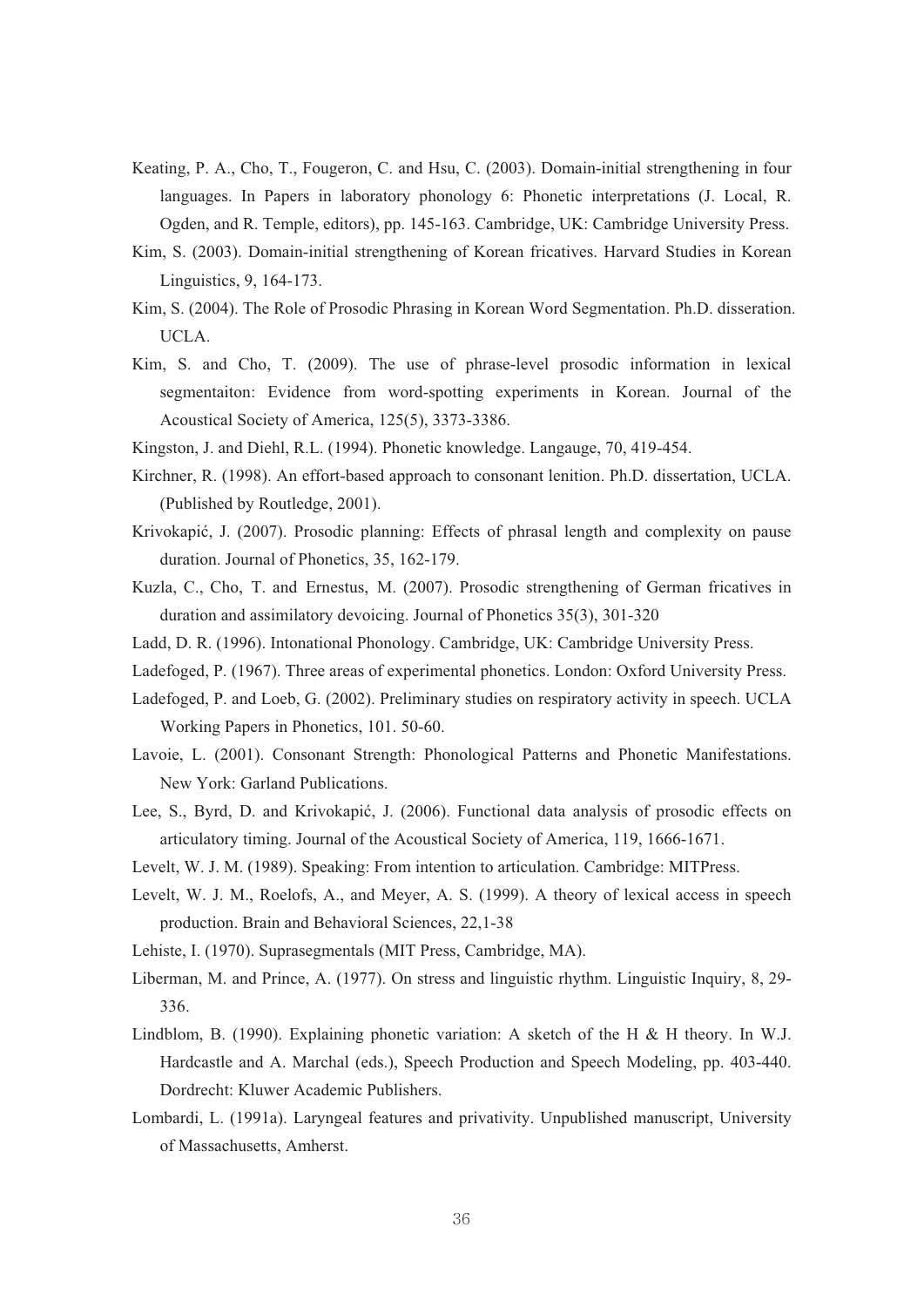- Keating, P. A., Cho, T., Fougeron, C. and Hsu, C. (2003). Domain-initial strengthening in four languages. In Papers in laboratory phonology 6: Phonetic interpretations (J. Local, R. Ogden, and R. Temple, editors), pp. 145-163. Cambridge, UK: Cambridge University Press.
- Kim, S. (2003). Domain-initial strengthening of Korean fricatives. Harvard Studies in Korean Linguistics, 9, 164-173.
- Kim, S. (2004). The Role of Prosodic Phrasing in Korean Word Segmentation. Ph.D. disseration. UCLA.
- Kim, S. and Cho, T. (2009). The use of phrase-level prosodic information in lexical segmentaiton: Evidence from word-spotting experiments in Korean. Journal of the Acoustical Society of America, 125(5), 3373-3386.
- Kingston, J. and Diehl, R.L. (1994). Phonetic knowledge. Langauge, 70, 419-454.
- Kirchner, R. (1998). An effort-based approach to consonant lenition. Ph.D. dissertation, UCLA. (Published by Routledge, 2001).
- Krivokapić, J. (2007). Prosodic planning: Effects of phrasal length and complexity on pause duration. Journal of Phonetics, 35, 162-179.
- Kuzla, C., Cho, T. and Ernestus, M. (2007). Prosodic strengthening of German fricatives in duration and assimilatory devoicing. Journal of Phonetics 35(3), 301-320
- Ladd, D. R. (1996). Intonational Phonology. Cambridge, UK: Cambridge University Press.
- Ladefoged, P. (1967). Three areas of experimental phonetics. London: Oxford University Press.
- Ladefoged, P. and Loeb, G. (2002). Preliminary studies on respiratory activity in speech. UCLA Working Papers in Phonetics, 101. 50-60.
- Lavoie, L. (2001). Consonant Strength: Phonological Patterns and Phonetic Manifestations. New York: Garland Publications.
- Lee, S., Byrd, D. and Krivokapić, J. (2006). Functional data analysis of prosodic effects on articulatory timing. Journal of the Acoustical Society of America, 119, 1666-1671.
- Levelt, W. J. M. (1989). Speaking: From intention to articulation. Cambridge: MITPress.
- Levelt, W. J. M., Roelofs, A., and Meyer, A. S. (1999). A theory of lexical access in speech production. Brain and Behavioral Sciences, 22,1-38
- Lehiste, I. (1970). Suprasegmentals (MIT Press, Cambridge, MA).
- Liberman, M. and Prince, A. (1977). On stress and linguistic rhythm. Linguistic Inquiry, 8, 29- 336.
- Lindblom, B. (1990). Explaining phonetic variation: A sketch of the H  $\&$  H theory. In W.J. Hardcastle and A. Marchal (eds.), Speech Production and Speech Modeling, pp. 403-440. Dordrecht: Kluwer Academic Publishers.
- Lombardi, L. (1991a). Laryngeal features and privativity. Unpublished manuscript, University of Massachusetts, Amherst.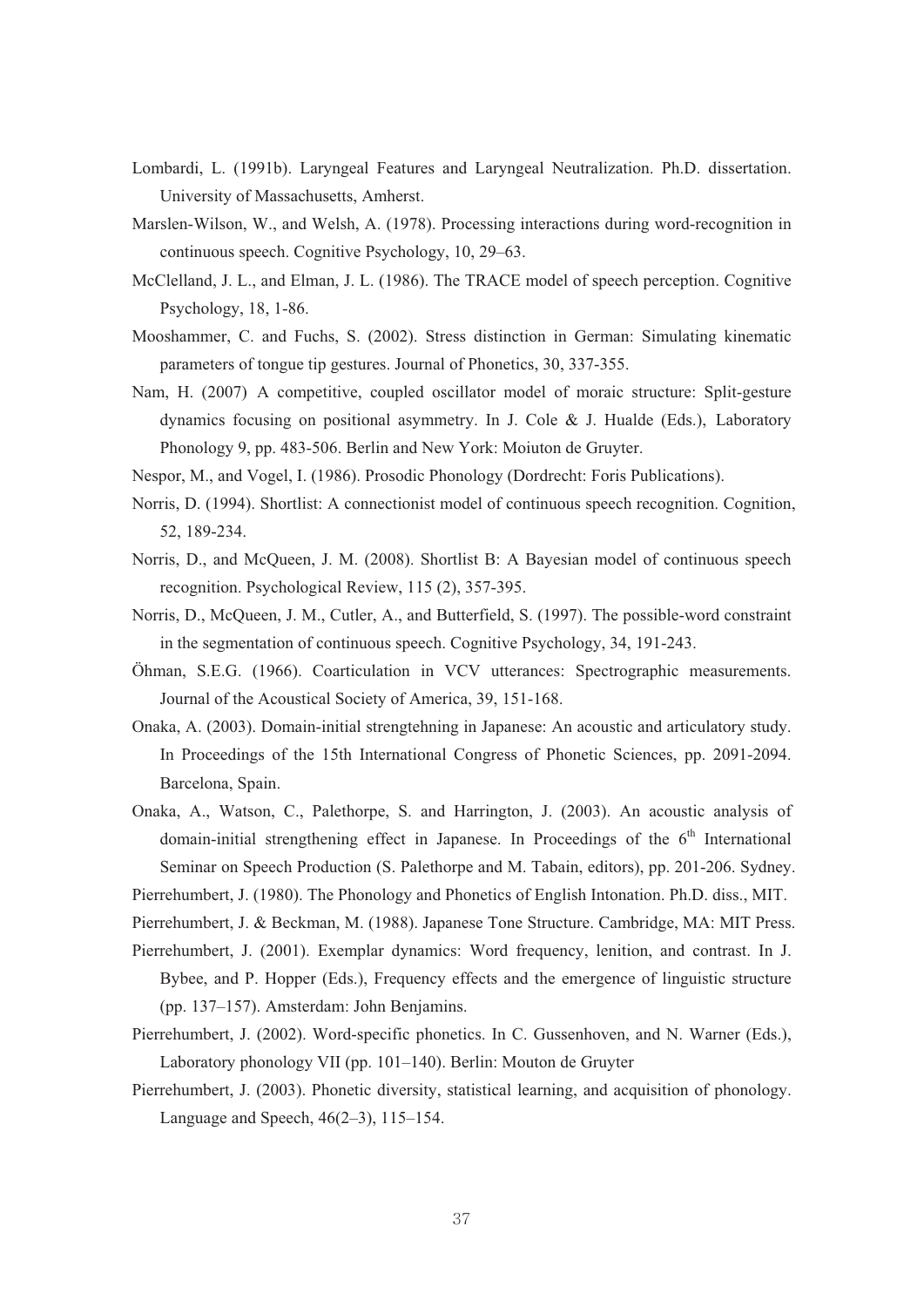- Lombardi, L. (1991b). Laryngeal Features and Laryngeal Neutralization. Ph.D. dissertation. University of Massachusetts, Amherst.
- Marslen-Wilson, W., and Welsh, A. (1978). Processing interactions during word-recognition in continuous speech. Cognitive Psychology, 10, 29–63.
- McClelland, J. L., and Elman, J. L. (1986). The TRACE model of speech perception. Cognitive Psychology, 18, 1-86.
- Mooshammer, C. and Fuchs, S. (2002). Stress distinction in German: Simulating kinematic parameters of tongue tip gestures. Journal of Phonetics, 30, 337-355.
- Nam, H. (2007) A competitive, coupled oscillator model of moraic structure: Split-gesture dynamics focusing on positional asymmetry. In J. Cole & J. Hualde (Eds.), Laboratory Phonology 9, pp. 483-506. Berlin and New York: Moiuton de Gruyter.
- Nespor, M., and Vogel, I. (1986). Prosodic Phonology (Dordrecht: Foris Publications).
- Norris, D. (1994). Shortlist: A connectionist model of continuous speech recognition. Cognition, 52, 189-234.
- Norris, D., and McQueen, J. M. (2008). Shortlist B: A Bayesian model of continuous speech recognition. Psychological Review, 115 (2), 357-395.
- Norris, D., McQueen, J. M., Cutler, A., and Butterfield, S. (1997). The possible-word constraint in the segmentation of continuous speech. Cognitive Psychology, 34, 191-243.
- Öhman, S.E.G. (1966). Coarticulation in VCV utterances: Spectrographic measurements. Journal of the Acoustical Society of America, 39, 151-168.
- Onaka, A. (2003). Domain-initial strengtehning in Japanese: An acoustic and articulatory study. In Proceedings of the 15th International Congress of Phonetic Sciences, pp. 2091-2094. Barcelona, Spain.
- Onaka, A., Watson, C., Palethorpe, S. and Harrington, J. (2003). An acoustic analysis of domain-initial strengthening effect in Japanese. In Proceedings of the  $6<sup>th</sup>$  International Seminar on Speech Production (S. Palethorpe and M. Tabain, editors), pp. 201-206. Sydney.
- Pierrehumbert, J. (1980). The Phonology and Phonetics of English Intonation. Ph.D. diss., MIT.
- Pierrehumbert, J. & Beckman, M. (1988). Japanese Tone Structure. Cambridge, MA: MIT Press.
- Pierrehumbert, J. (2001). Exemplar dynamics: Word frequency, lenition, and contrast. In J. Bybee, and P. Hopper (Eds.), Frequency effects and the emergence of linguistic structure (pp. 137–157). Amsterdam: John Benjamins.
- Pierrehumbert, J. (2002). Word-specific phonetics. In C. Gussenhoven, and N. Warner (Eds.), Laboratory phonology VII (pp. 101–140). Berlin: Mouton de Gruyter
- Pierrehumbert, J. (2003). Phonetic diversity, statistical learning, and acquisition of phonology. Language and Speech, 46(2–3), 115–154.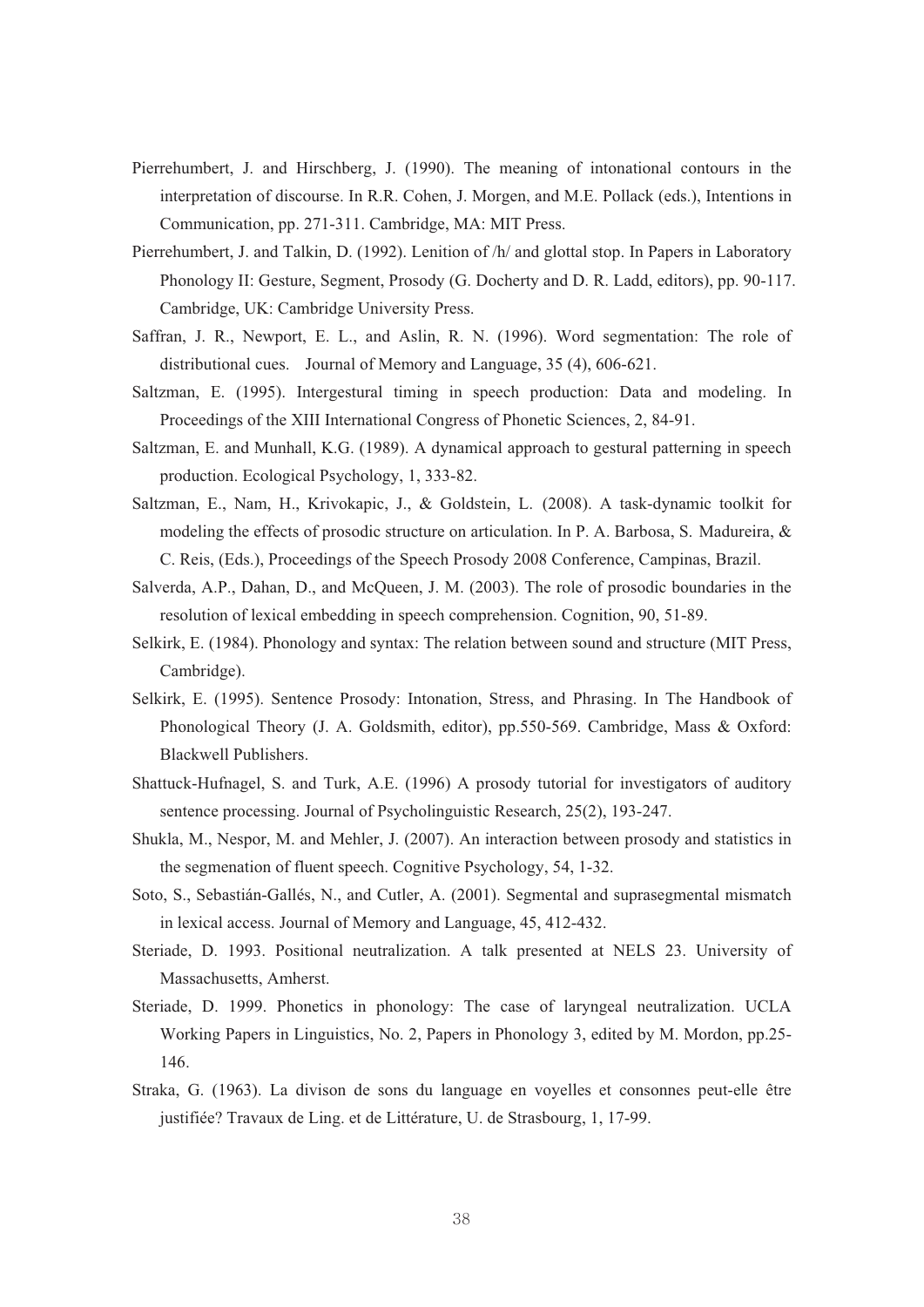- Pierrehumbert, J. and Hirschberg, J. (1990). The meaning of intonational contours in the interpretation of discourse. In R.R. Cohen, J. Morgen, and M.E. Pollack (eds.), Intentions in Communication, pp. 271-311. Cambridge, MA: MIT Press.
- Pierrehumbert, J. and Talkin, D. (1992). Lenition of /h/ and glottal stop. In Papers in Laboratory Phonology II: Gesture, Segment, Prosody (G. Docherty and D. R. Ladd, editors), pp. 90-117. Cambridge, UK: Cambridge University Press.
- Saffran, J. R., Newport, E. L., and Aslin, R. N. (1996). Word segmentation: The role of distributional cues. Journal of Memory and Language, 35 (4), 606-621.
- Saltzman, E. (1995). Intergestural timing in speech production: Data and modeling. In Proceedings of the XIII International Congress of Phonetic Sciences, 2, 84-91.
- Saltzman, E. and Munhall, K.G. (1989). A dynamical approach to gestural patterning in speech production. Ecological Psychology, 1, 333-82.
- Saltzman, E., Nam, H., Krivokapic, J., & Goldstein, L. (2008). A task-dynamic toolkit for modeling the effects of prosodic structure on articulation. In P. A. Barbosa, S. Madureira, & C. Reis, (Eds.), Proceedings of the Speech Prosody 2008 Conference, Campinas, Brazil.
- Salverda, A.P., Dahan, D., and McQueen, J. M. (2003). The role of prosodic boundaries in the resolution of lexical embedding in speech comprehension. Cognition, 90, 51-89.
- Selkirk, E. (1984). Phonology and syntax: The relation between sound and structure (MIT Press, Cambridge).
- Selkirk, E. (1995). Sentence Prosody: Intonation, Stress, and Phrasing. In The Handbook of Phonological Theory (J. A. Goldsmith, editor), pp.550-569. Cambridge, Mass & Oxford: Blackwell Publishers.
- Shattuck-Hufnagel, S. and Turk, A.E. (1996) A prosody tutorial for investigators of auditory sentence processing. Journal of Psycholinguistic Research, 25(2), 193-247.
- Shukla, M., Nespor, M. and Mehler, J. (2007). An interaction between prosody and statistics in the segmenation of fluent speech. Cognitive Psychology, 54, 1-32.
- Soto, S., Sebastián-Gallés, N., and Cutler, A. (2001). Segmental and suprasegmental mismatch in lexical access. Journal of Memory and Language, 45, 412-432.
- Steriade, D. 1993. Positional neutralization. A talk presented at NELS 23. University of Massachusetts, Amherst.
- Steriade, D. 1999. Phonetics in phonology: The case of laryngeal neutralization. UCLA Working Papers in Linguistics, No. 2, Papers in Phonology 3, edited by M. Mordon, pp.25- 146.
- Straka, G. (1963). La divison de sons du language en voyelles et consonnes peut-elle être justifiée? Travaux de Ling. et de Littérature, U. de Strasbourg, 1, 17-99.